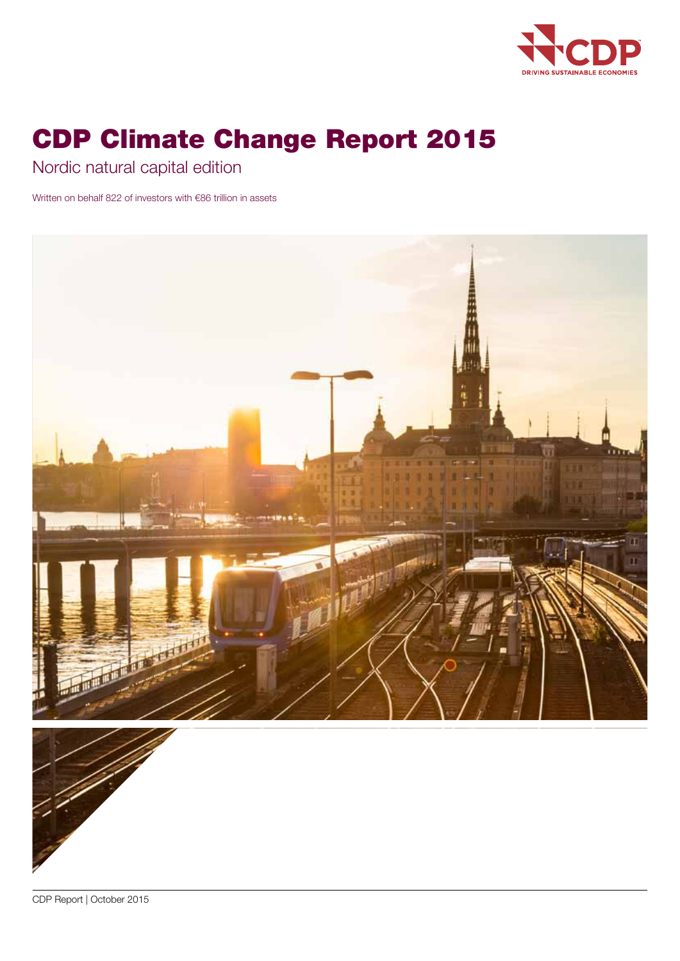

# CDP Climate Change Report 2015

Nordic natural capital edition

Written on behalf 822 of investors with €86 trillion in assets





CDP Report | October 2015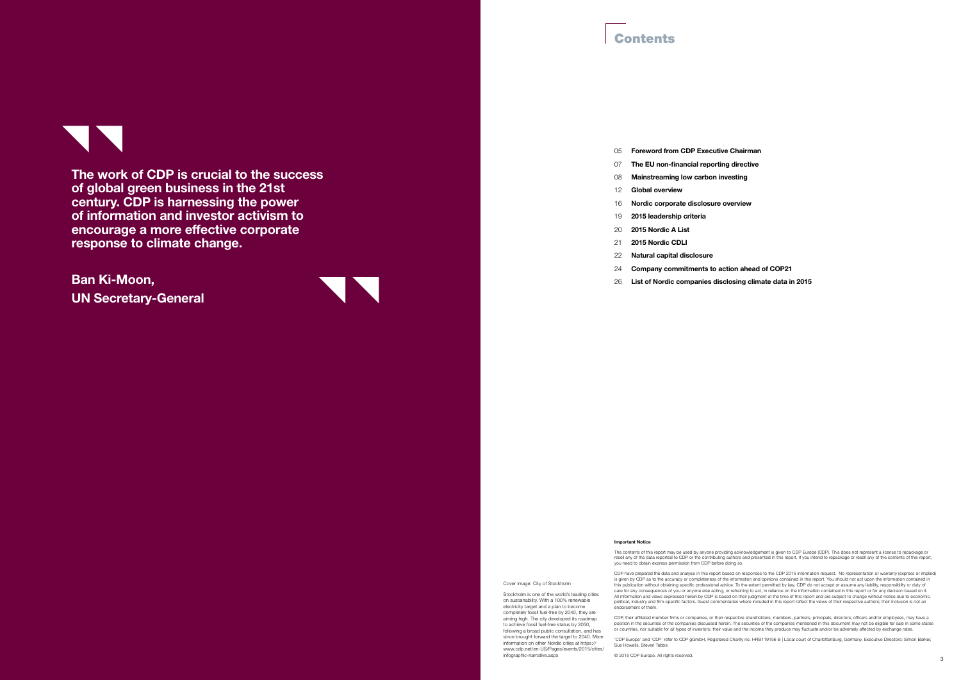## **Contents**

The work of CDP is crucial to the success of global green business in the 21st century. CDP is harnessing the power of information and investor activism to encourage a more effective corporate response to climate change.

Ban Ki-Moon, UN Secretary-General



#### 05 Foreword from CDP Executive Chairman

- 07 The EU non-financial reporting directive
- 08 Mainstreaming low carbon investing
- 12 Global overview
- 16 Nordic corporate disclosure overview
- 19 2015 leadership criteria
- 20 2015 Nordic A List
- 21 2015 Nordic CDLI
- 22 Natural capital disclosure
- 24 Company commitments to action ahead of COP21
- 26 List of Nordic companies disclosing climate data in 2015

The contents of this report may be used by anyone providing acknowledgement is given to CDP Europe (CDP). This does not represent a license to repackage or<br>resell any of the data reported to CDP or the contributing authors you need to obtain express permission from CDP before doing so.

#### Important Notice

and the contract of the contract of the contract of the contract of the contract of the contract of the contract of the contract of the contract of the contract of the contract of the contract of the contract of the contra © 2015 CDP Europe. All rights reserved.

CDP have prepared the data and analysis in this report based on responses to the CDP 2015 information request. No representation or warranty (express or implied) is given by CDP as to the accuracy or completeness of the information and opinions contained in this report. You should not act upon the information contained in<br>this publication without obtaining specific professional adv care for any consequences of you or anyone else acting, or refraining to act, in reliance on the information contained in this report or for any decision based on it.<br>All information and views expressed herein by CDP is ba political, industry and firm-specific factors. Guest commentaries where included in this report reflect the views of their respective authors; their inclusion is not an endorsement of them.

CDP, their affiliated member firms or companies, or their respective shareholders, members, partners, principals, directors, officers and/or employees, may have a position in the securities of the companies discussed herein. The securities of the companies mentioned in this document may not be eligible for sale in some states or countries, nor suitable for all types of investors; their value and the income they produce may fluctuate and/or be adversely affected by exchange rates.

'CDP Europe' and 'CDP' refer to CDP gGmbH, Registered Charity no. HRB119156 B | Local court of Charlottenburg, Germany. Executive Directors: Simon Barker,

Sue Howells, Steven Tebbe

Cover image: City of Stockholm

Stockholm is one of the world's leading cities on sustainability. With a 100% renewable electricity target and a plan to become completely fossil fuel-free by 2040, they are aiming high. The city developed its roadmap to achieve fossil fuel-free status by 2050, following a broad public consultation, and has since brought forward the target to 2040. More information on other Nordic cities at https:// www.cdp.net/en-US/Pages/events/2015/cities/

infographic-narrative.aspx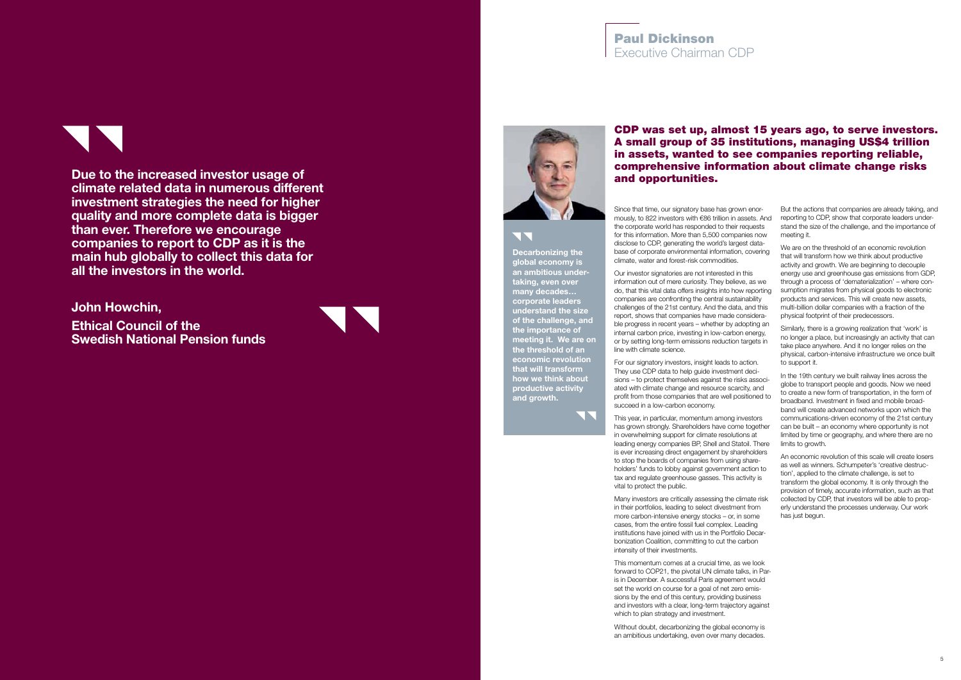## CDP was set up, almost 15 years ago, to serve investors. A small group of 35 institutions, managing US\$4 trillion in assets, wanted to see companies reporting reliable, comprehensive information about climate change risks and opportunities.

Since that time, our signatory base has grown enormously, to 822 investors with €86 trillion in assets. And the corporate world has responded to their requests for this information. More than 5,500 companies now disclose to CDP, generating the world's largest data base of corporate environmental information, covering climate, water and forest-risk commodities.

For our signatory investors, insight leads to action. They use CDP data to help guide investment deci sions - to protect themselves against the risks associated with climate change and resource scarcity, and profit from those companies that are well positioned to succeed in a low-carbon economy.

Our investor signatories are not interested in this information out of mere curiosity. They believe, as we do, that this vital data offers insights into how reporting companies are confronting the central sustainability challenges of the 21st century. And the data, and this report, shows that companies have made considera ble progress in recent years – whether by adopting an internal carbon price, investing in low-carbon energy, or by setting long-term emissions reduction targets in line with climate science.

This year, in particular, momentum among investors has grown strongly. Shareholders have come together in overwhelming support for climate resolutions at leading energy companies BP, Shell and Statoil. There is ever increasing direct engagement by shareholders to stop the boards of companies from using shareholders' funds to lobby against government action to tax and regulate greenhouse gasses. This activity is vital to protect the public.

Many investors are critically assessing the climate risk in their portfolios, leading to select divestment from more carbon-intensive energy stocks – or, in some cases, from the entire fossil fuel complex. Leading institutions have joined with us in the Portfolio Decarbonization Coalition, committing to cut the carbon intensity of their investments.

# $\overline{\phantom{a}}$ Decarbonizing the

This momentum comes at a crucial time, as we look forward to COP21, the pivotal UN climate talks, in Paris in December. A successful Paris agreement would set the world on course for a goal of net zero emis sions by the end of this century, providing business and investors with a clear, long-term trajectory against which to plan strategy and investment.

Without doubt, decarbonizing the global economy is an ambitious undertaking, even over many decades.

But the actions that companies are already taking, and reporting to CDP, show that corporate leaders understand the size of the challenge, and the importance of meeting it.

We are on the threshold of an economic revolution that will transform how we think about productive activity and growth. We are beginning to decouple energy use and greenhouse gas emissions from GDP, through a process of 'dematerialization' – where con sumption migrates from physical goods to electronic products and services. This will create new assets, multi-billion dollar companies with a fraction of the physical footprint of their predecessors.

Similarly, there is a growing realization that 'work' is no longer a place, but increasingly an activity that can take place anywhere. And it no longer relies on the physical, carbon-intensive infrastructure we once built to support it.

In the 19th century we built railway lines across the globe to transport people and goods. Now we need to create a new form of transportation, in the form of broadband. Investment in fixed and mobile broad band will create advanced networks upon which the communications-driven economy of the 21st century can be built – an economy where opportunity is not limited by time or geography, and where there are no limits to growth.

An economic revolution of this scale will create losers as well as winners. Schumpeter's 'creative destruc tion', applied to the climate challenge, is set to transform the global economy. It is only through the provision of timely, accurate information, such as that collected by CDP, that investors will be able to prop erly understand the processes underway. Our work has just begun.

global economy is an ambitious under taking, even over many decades… corporate leaders understand the size of the challenge, and the importance of meeting it. We are on the threshold of an economic revolution that will transform how we think about productive activity and growth.

**NA** 

## Paul Dickinson Executive Chairman CDP

Due to the increased investor usage of climate related data in numerous different investment strategies the need for higher quality and more complete data is bigger than ever. Therefore we encourage companies to report to CDP as it is the main hub globally to collect this data for all the investors in the world.

John Howchin,

Ethical Council of the Swedish National Pension funds



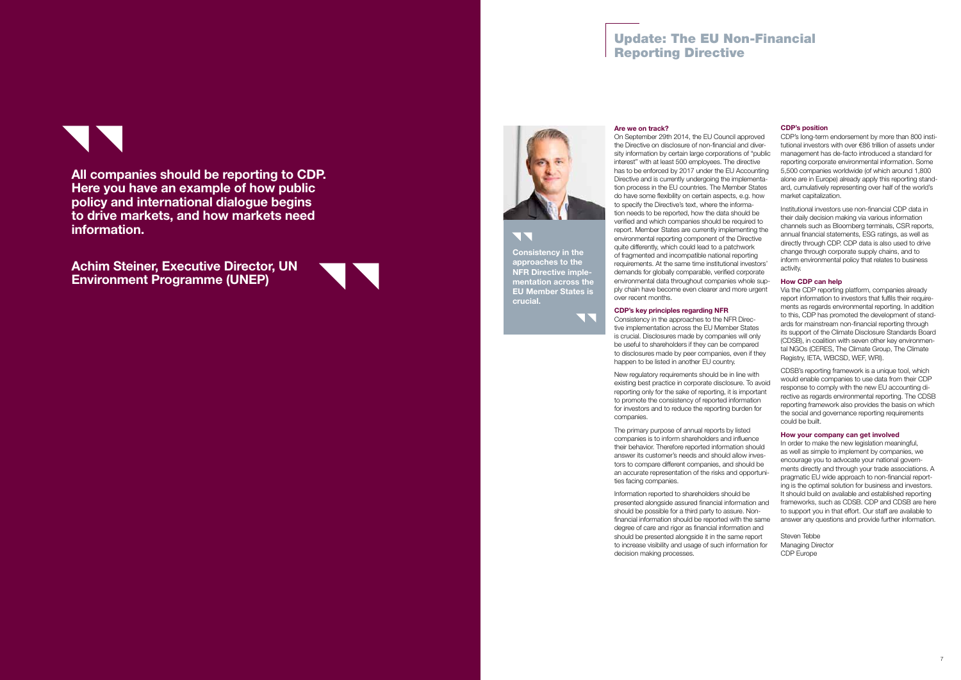## Are we on track?

On September 29th 2014, the EU Council approved the Directive on disclosure of non-financial and diversity information by certain large corporations of "public interest" with at least 500 employees. The directive has to be enforced by 2017 under the EU Accounting Directive and is currently undergoing the implementation process in the EU countries. The Member States do have some flexibility on certain aspects, e.g. how to specify the Directive's text, where the information needs to be reported, how the data should be verified and which companies should be required to report. Member States are currently implementing the environmental reporting component of the Directive quite differently, which could lead to a patchwork of fragmented and incompatible national reporting requirements. At the same time institutional investors' demands for globally comparable, verified corporate environmental data throughout companies whole supply chain have become even clearer and more urgent over recent months.

CDP's key principles regarding NFR

Consistency in the approaches to the NFR Directive implementation across the EU Member States is crucial. Disclosures made by companies will only be useful to shareholders if they can be compared to disclosures made by peer companies, even if they happen to be listed in another EU country.

New regulatory requirements should be in line with existing best practice in corporate disclosure. To avoid reporting only for the sake of reporting, it is important to promote the consistency of reported information for investors and to reduce the reporting burden for companies.

The primary purpose of annual reports by listed companies is to inform shareholders and influence their behavior. Therefore reported information should answer its customer's needs and should allow investors to compare different companies, and should be an accurate representation of the risks and opportunities facing companies.

Information reported to shareholders should be presented alongside assured financial information and should be possible for a third party to assure. Nonfinancial information should be reported with the same degree of care and rigor as financial information and should be presented alongside it in the same report to increase visibility and usage of such information for decision making processes.

Steven Tehhe Managing Director CDP Europe

77 Consistency in the approaches to the NFR Directive implementation across the EU Member States is

#### CDP's position

CDP's long-term endorsement by more than 800 institutional investors with over €86 trillion of assets under management has de-facto introduced a standard for reporting corporate environmental information. Some 5,500 companies worldwide (of which around 1,800 alone are in Europe) already apply this reporting standard, cumulatively representing over half of the world's market capitalization.

Institutional investors use non-financial CDP data in their daily decision making via various information channels such as Bloomberg terminals, CSR reports, annual financial statements, ESG ratings, as well as directly through CDP. CDP data is also used to drive change through corporate supply chains, and to inform environmental policy that relates to business activity.

## How CDP can help

Via the CDP reporting platform, companies already report information to investors that fulfils their requirements as regards environmental reporting. In addition to this, CDP has promoted the development of standards for mainstream non-financial reporting through its support of the Climate Disclosure Standards Board (CDSB), in coalition with seven other key environmental NGOs (CERES, The Climate Group, The Climate Registry, IETA, WBCSD, WEF, WRI).

CDSB's reporting framework is a unique tool, which would enable companies to use data from their CDP response to comply with the new EU accounting directive as regards environmental reporting. The CDSB reporting framework also provides the basis on which the social and governance reporting requirements could be built.

## How your company can get involved

In order to make the new legislation meaningful, as well as simple to implement by companies, we encourage you to advocate your national governments directly and through your trade associations. A pragmatic EU wide approach to non-financial reporting is the optimal solution for business and investors. It should build on available and established reporting frameworks, such as CDSB. CDP and CDSB are here to support you in that effort. Our staff are available to answer any questions and provide further information.

# Update: The EU Non-Financial Reporting Directive

crucial.

NN.

All companies should be reporting to CDP. Here you have an example of how public policy and international dialogue begins to drive markets, and how markets need information.

Achim Steiner, Executive Director, UN Environment Programme (UNEP)



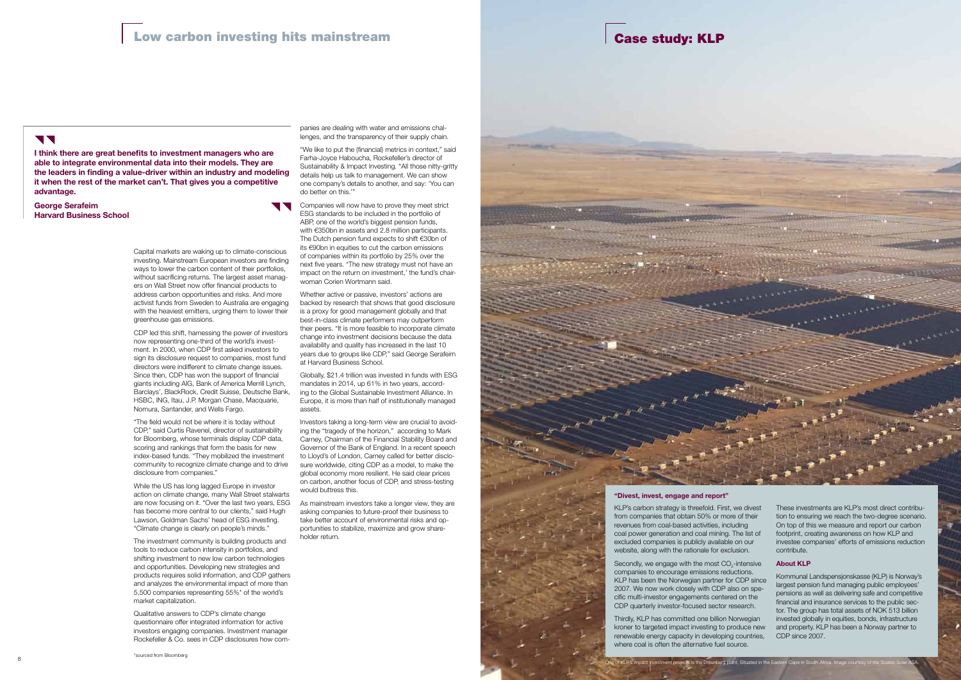Capital markets are waking up to climate-conscious investing. Mainstream European investors are finding ways to lower the carbon content of their portfolios, without sacrificing returns. The largest asset managers on Wall Street now offer financial products to address carbon opportunities and risks. And more activist funds from Sweden to Australia are engaging with the heaviest emitters, urging them to lower their greenhouse gas emissions.

CDP led this shift, harnessing the power of investors now representing one-third of the world's investment. In 2000, when CDP first asked investors to sign its disclosure request to companies, most fund directors were indifferent to climate change issues. Since then, CDP has won the support of financial giants including AIG, Bank of America Merrill Lynch, Barclays', BlackRock, Credit Suisse, Deutsche Bank, HSBC, ING, Itau, J.P. Morgan Chase, Macquarie, Nomura, Santander, and Wells Fargo.

"The field would not be where it is today without CDP," said Curtis Ravenel, director of sustainability for Bloomberg, whose terminals display CDP data, scoring and rankings that form the basis for new index-based funds. "They mobilized the investment community to recognize climate change and to drive disclosure from companies."

While the US has long lagged Europe in investor action on climate change, many Wall Street stalwarts are now focusing on it. "Over the last two years, ESG has become more central to our clients," said Hugh Lawson, Goldman Sachs' head of ESG investing. "Climate change is clearly on people's minds."

The investment community is building products and tools to reduce carbon intensity in portfolios, and shifting investment to new low carbon technologies and opportunities. Developing new strategies and products requires solid information, and CDP gathers and analyzes the environmental impact of more than 5,500 companies representing 55%\* of the world's market capitalization.

Qualitative answers to CDP's climate change questionnaire offer integrated information for active investors engaging companies. Investment manager Rockefeller & Co. sees in CDP disclosures how companies are dealing with water and emissions challenges, and the transparency of their supply chain.

"We like to put the (financial) metrics in context," said Farha-Joyce Haboucha, Rockefeller's director of Sustainability & Impact Investing. "All those nitty-gritty details help us talk to management. We can show one company's details to another, and say: 'You can do better on this.'"

> Secondly, we engage with the most  $CO_{2}$ -intensive companies to encourage emissions reductions. KLP has been the Norwegian partner for CDP since 2007. We now work closely with CDP also on specific multi-investor engagements centered on the CDP quarterly investor-focused sector research.

Companies will now have to prove they meet strict ESG standards to be included in the portfolio of ABP, one of the world's biggest pension funds, with €350bn in assets and 2.8 million participants. The Dutch pension fund expects to shift €30bn of its €90bn in equities to cut the carbon emissions of companies within its portfolio by 25% over the next five years. "The new strategy must not have an impact on the return on investment,' the fund's chairwoman Corien Wortmann said.



Whether active or passive, investors' actions are backed by research that shows that good disclosure is a proxy for good management globally and that best-in-class climate performers may outperform their peers. "It is more feasible to incorporate climate change into investment decisions because the data availability and quality has increased in the last 10 years due to groups like CDP," said George Serafeim at Harvard Business School.

Globally, \$21.4 trillion was invested in funds with ESG mandates in 2014, up 61% in two years, according to the Global Sustainable Investment Alliance. In Europe, it is more than half of institutionally managed assets.

Investors taking a long-term view are crucial to avoiding the "tragedy of the horizon," according to Mark Carney, Chairman of the Financial Stability Board and Governor of the Bank of England. In a recent speech to Lloyd's of London, Carney called for better disclosure worldwide, citing CDP as a model, to make the global economy more resilient. He said clear prices on carbon, another focus of CDP, and stress-testing would buttress this.

As mainstream investors take a longer view, they are asking companies to future-proof their business to take better account of environmental risks and opportunities to stabilize, maximize and grow shareholder return.

I think there are great benefits to investment managers who are able to integrate environmental data into their models. They are the leaders in finding a value-driver within an industry and modeling it when the rest of the market can't. That gives you a competitive advantage.

George Serafeim Harvard Business School

## Case study: KLP

## TT

KLP's carbon strategy is threefold. First, we divest from companies that obtain 50% or more of their revenues from coal-based activities, including coal power generation and coal mining. The list of excluded companies is publicly available on our website, along with the rationale for exclusion.

Thirdly, KLP has committed one billion Norwegian kroner to targeted impact investing to produce new renewable energy capacity in developing countries, where coal is often the alternative fuel source.

These investments are KLP's most direct contribution to ensuring we reach the two-degree scenario. On top of this we measure and report our carbon footprint, creating awareness on how KLP and investee companies' efforts of emissions reduction contribute.

#### About KLP

Kommunal Landspensjonskasse (KLP) is Norway's largest pension fund managing public employees' pensions as well as delivering safe and competitive financial and insurance services to the public sector. The group has total assets of NOK 513 billion invested globally in equities, bonds, infrastructure and property. KLP has been a Norway partner to CDP since 2007.

#### "Divest, invest, engage and report"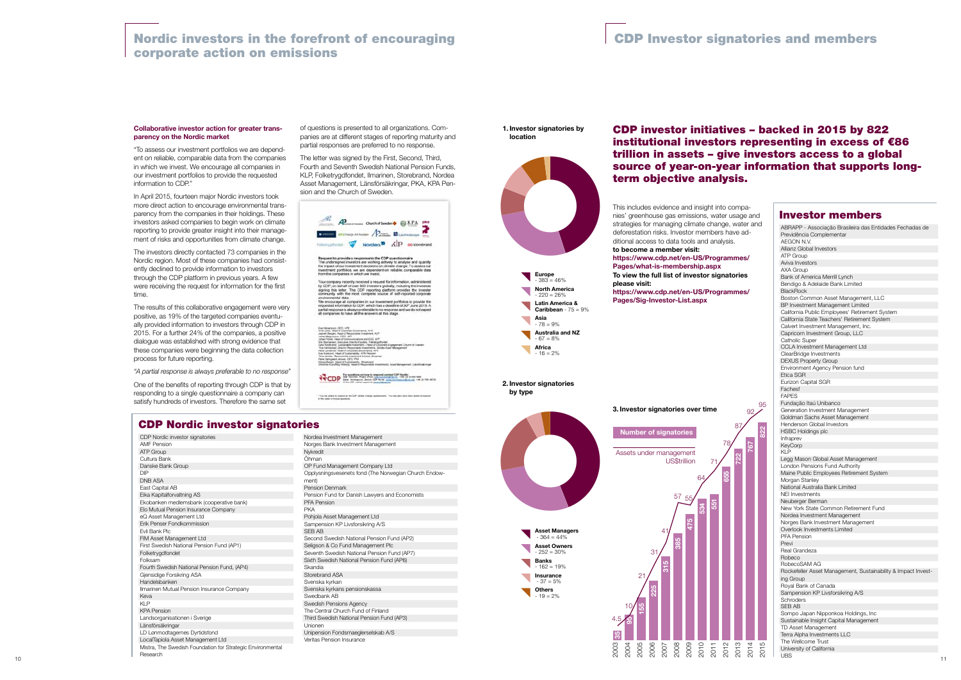#### Collaborative investor action for greater transparency on the Nordic market

"To assess our investment portfolios we are dependent on reliable, comparable data from the companies in which we invest. We encourage all companies in our investment portfolios to provide the requested information to CDP."

In April 2015, fourteen major Nordic investors took more direct action to encourage environmental transparency from the companies in their holdings. These investors asked companies to begin work on climate reporting to provide greater insight into their management of risks and opportunities from climate change.

The investors directly contacted 73 companies in the Nordic region. Most of these companies had consistently declined to provide information to investors through the CDP platform in previous years. A few were receiving the request for information for the first time.

The results of this collaborative engagement were very positive, as 19% of the targeted companies eventually provided information to investors through CDP in 2015. For a further 24% of the companies, a positive dialogue was established with strong evidence that these companies were beginning the data collection process for future reporting.

*"A partial response is always preferable to no response"*

One of the benefits of reporting through CDP is that by responding to a single questionnaire a company can satisfy hundreds of investors. Therefore the same set

of questions is presented to all organizations. Companies are at different stages of reporting maturity and partial responses are preferred to no response.

The letter was signed by the First, Second, Third, Fourth and Seventh Swedish National Pension Funds, KLP, Folketrygdfondet, Ilmarinen, Storebrand, Nordea Asset Management, Länsförsäkringar, PKA, KPA Pension and the Church of Sweden.



Request to provide a response to the CDP questionnaire<br>The undersport investion are working actively to analyse and quantify<br>the impact of our investment decisions on climate change. To assess our<br>investment portfolios, we

,<br>Company recently received a request for information, administered<br>IDP, on behalf of over 800 investors globally, including the investors<br>ing this letter. The CDP reporting platform provides the investor<br>muntly with the m community with the most complete source of self-reported corporate<br>emissions and companies in our investment portfolios to provide the<br>requested information to CDP, which has a deadline of 30° June 2015. A<br>partial resconse partial response is always preferable to no response and we do not all companies to have all the answers at this stage.

emptor, APV **Standard** 



CDP Nordic investor signatories AMF Pension **ATP Group** Cultura Bank Danske Bank Group DIP DNB ASA East Capital AB Eika Kapitalforvaltning AS Ekobanken medlemsbank (cooperative bank) Elo Mutual Pension Insurance Company eQ Asset Management Ltd Erik Penser Fondkommission Evli Bank Plc FIM Asset Management Ltd First Swedish National Pension Fund (AP1) Folketrygdfondet **Folksam** Fourth Swedish National Pension Fund, (AP4) Gjensidige Forsikring ASA Handelsbanken Ilmarinen Mutual Pension Insurance Company Keva KLP KPA Pension Landsorganisationen i Sverige Länsförsäkringar LD Lønmodtagernes Dyrtidsfond LocalTapiola Asset Management Ltd Mistra, The Swedish Foundation for Strategic Environmental Research

్ల န္တ ABRAPP - Associação Brasileira das Entidades Fechadas de Previdência Complementar AEGON N.V. Allianz Global Investors ATP Group Aviva Investor AXA Group Bank of America Merrill Lynch Bendigo & Adelaide Bank Limited BlackRock Boston Common Asset Management, LLC BP Investment Management Limited California Public Employees' Retirement System California State Teachers' Retirement System Calvert Investment Management, Inc. Capricorn Investment Group, LLC Catholic Super CCLA Investment Management Ltd ClearBridge Investments DEXUS Property Group Environment Agency Pension fund Etica SGR Eurizon Capital SGR Fachesf FAPES Fundação Itaú Unibanco Generation Investment Management Goldman Sachs Asset Management Henderson Global Investors HSBC Holdings plc Infraprev KeyCorp KI<sub>P</sub> Legg Mason Global Asset Management London Pensions Fund Authority Maine Public Employees Retirement System Morgan Stanley National Australia Bank Limited NEI Investments Neuberger Berman New York State Common Retirement Fund Nordea Investment Management Norges Bank Investment Management Overlook Investments Limited PFA Pension Previ Real Grandeza Robeco RobecoSAM AG Rockefeller Asset Management, Sustainability & Impact Investing Group Royal Bank of Canada Sampension KP Livsforsikring A/S Schroders SEB AB Sompo Japan Nipponkoa Holdings, Inc Sustainable Insight Capital Management TD Asset Management Terra Alpha Investments LLC The Wellcome Trust University of California UBS Investor members  $\approx$ 767 722 655 <u>ائ</u> 534 475 385 315 225 155 2012 2013 2014 2015 10 21 31 41 57 55 64 71 78 87  $92\angle$ 95 Number of signatories Assets under management US\$trillion



Nordea Investment Management Norges Bank Investment Management Nykredit Öhman OP Fund Management Company Ltd Opplysningsvesenets fond (The Norwegian Church Endowment) Pension Denmark Pension Fund for Danish Lawyers and Economists PFA Pension PKA Pohjola Asset Management Ltd Sampension KP Livsforsikring A/S SEB AB Second Swedish National Pension Fund (AP2) Seligson & Co Fund Management Plc Seventh Swedish National Pension Fund (AP7) Sixth Swedish National Pension Fund (AP6) Skandia Storebrand ASA Svenska kyrkan Svenska kyrkans pensionskassa Swedbank AB Swedish Pensions Agency The Central Church Fund of Finland Third Swedish National Pension Fund (AP3) Unionen Unipension Fondsmaeglerselskab A/S Veritas Pension Insurance

## Nordic investors in the forefront of encouraging corporate action on emissions

## CDP Nordic investor signatories

## CDP investor initiatives – backed in 2015 by 822 institutional investors representing in excess of €86 trillion in assets – give investors access to a global source of year-on-year information that supports longterm objective analysis.

## CDP Investor signatories and members

1. Investor signatories by location

2. Investor signatories by type



4.5 3. Investor signatories over time This includes evidence and insight into companies' greenhouse gas emissions, water usage and strategies for managing climate change, water and deforestation risks. Investor members have additional access to data tools and analysis. to become a member visit: https://www.cdp.net/en-US/Programmes/ Pages/what-is-membership.aspx To view the full list of investor signatories please visit: https://www.cdp.net/en-US/Programmes/ Pages/Sig-Investor-List.aspx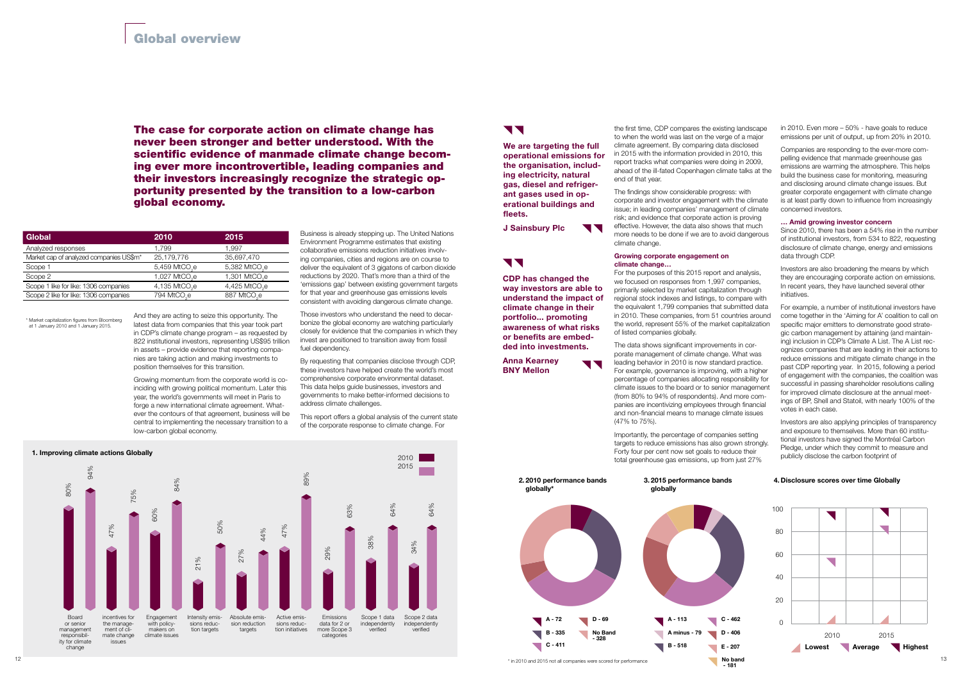And they are acting to seize this opportunity. The latest data from companies that this year took part in CDP's climate change program – as requested by 822 institutional investors, representing US\$95 trillion in assets – provide evidence that reporting companies are taking action and making investments to position themselves for this transition.

Growing momentum from the corporate world is coinciding with growing political momentum. Later this year, the world's governments will meet in Paris to forge a new international climate agreement. Whatever the contours of that agreement, business will be central to implementing the necessary transition to a low-carbon global economy.

Those investors who understand the need to decarbonize the global economy are watching particularly closely for evidence that the companies in which they invest are positioned to transition away from fossil fuel dependency

The case for corporate action on climate change has never been stronger and better understood. With the scientific evidence of manmade climate change becoming ever more incontrovertible, leading companies and their investors increasingly recognize the strategic opportunity presented by the transition to a low-carbon global economy.

> Business is already stepping up. The United Nations Environment Programme estimates that existing collaborative emissions reduction initiatives involving companies, cities and regions are on course to deliver the equivalent of 3 gigatons of carbon dioxide reductions by 2020. That's more than a third of the 'emissions gap' between existing government targets for that year and greenhouse gas emissions levels consistent with avoiding dangerous climate change.

By requesting that companies disclose through CDP, these investors have helped create the world's most comprehensive corporate environmental dataset. This data helps guide businesses, investors and governments to make better-informed decisions to address climate challenges.

This report offers a global analysis of the current state of the corporate response to climate change. For

the first time, CDP compares the existing landscape to when the world was last on the verge of a major climate agreement. By comparing data disclosed in 2015 with the information provided in 2010, this report tracks what companies were doing in 2009, ahead of the ill-fated Copenhagen climate talks at the end of that year.

The findings show considerable progress: with corporate and investor engagement with the climate issue; in leading companies' management of climate risk; and evidence that corporate action is proving effective. However, the data also shows that much more needs to be done if we are to avoid dangerous climate change.

## Growing corporate engagement on climate change…

We are targeting the full operational emissions for the organisation, including electricity, natural gas, diesel and refrigerant gases used in operational buildings and fleets.

J Sainsbury Plc **TV** 

# **V V**

For the purposes of this 2015 report and analysis, we focused on responses from 1,997 companies, primarily selected by market capitalization through regional stock indexes and listings, to compare with the equivalent 1,799 companies that submitted data in 2010. These companies, from 51 countries around the world, represent 55% of the market capitalization of listed companies globally.

The data shows significant improvements in corporate management of climate change. What was leading behavior in 2010 is now standard practice. For example, governance is improving, with a higher percentage of companies allocating responsibility for climate issues to the board or to senior management (from 80% to 94% of respondents). And more companies are incentivizing employees through financial and non-financial means to manage climate issues (47% to 75%).

Importantly, the percentage of companies setting targets to reduce emissions has also grown strongly. Forty four per cent now set goals to reduce their total greenhouse gas emissions, up from just 27%

910Daily<br>
1920<br>
1920<br>
1920<br>
1930<br>
1930<br>
1930<br>
1940<br>
1940<br>
1940<br>
1940<br>
1940<br>
1940<br>
1940<br>
1940<br>
1940<br>
1940<br>
1940<br>
1940<br>
1940<br>
1940<br>
1940<br>
1940<br>
1940<br>
1940<br>
1940 263584<br>2634<br>2644<br>2644<br>26452 2. 2010 performance bands globally\* 3. 2015 performance bands globally A - 72 D - 69 A - 113 B - 518 No Band - 328  $C - 462$ D - 406  $C - 411$  $\blacksquare$  A minus  $E - 207$ 

in 2010. Even more – 50% - have goals to reduce emissions per unit of output, up from 20% in 2010.

Companies are responding to the ever-more compelling evidence that manmade greenhouse gas emissions are warming the atmosphere. This helps build the business case for monitoring, measuring and disclosing around climate change issues. But greater corporate engagement with climate change is at least partly down to influence from increasingly concerned investors.

## … Amid growing investor concern

Since 2010, there has been a 54% rise in the number of institutional investors, from 534 to 822, requesting disclosure of climate change, energy and emissions data through CDP.

Investors are also broadening the means by which they are encouraging corporate action on emissions. In recent years, they have launched several other initiatives.

For example, a number of institutional investors have come together in the 'Aiming for A' coalition to call on specific major emitters to demonstrate good strategic carbon management by attaining (and maintaining) inclusion in CDP's Climate A List. The A List recognizes companies that are leading in their actions to reduce emissions and mitigate climate change in the past CDP reporting year. In 2015, following a period of engagement with the companies, the coalition was successful in passing shareholder resolutions calling for improved climate disclosure at the annual meetings of BP, Shell and Statoil, with nearly 100% of the votes in each case.

Investors are also applying principles of transparency and exposure to themselves. More than 60 institutional investors have signed the Montréal Carbon Pledge, under which they commit to measure and publicly disclose the carbon footprint of

## 4. Disclosure scores over time Globally



# **11**



CDP has changed the way investors are able to understand the impact of climate change in their portfolio... promoting awareness of what risks or benefits are embedded into investments.



Anna Kearney BNY Mellon

**11** 

| Global                                              | 2010                      | 2015                      |
|-----------------------------------------------------|---------------------------|---------------------------|
| Analyzed responses                                  | 1.799                     | 1.997                     |
| Market cap of analyzed companies US\$m <sup>*</sup> | 25,179,776                | 35,697,470                |
| Scope 1                                             | 5,459 MtCO <sub>2</sub> e | 5,382 MtCO <sub>2</sub> e |
| Scope 2                                             | 1,027 MtCO <sub>2</sub> e | 1,301 MtCO <sub>2</sub> e |
| Scope 1 like for like: 1306 companies               | 4,135 MtCO <sub>2</sub> e | 4,425 MtCO <sub>2</sub> e |
| Scope 2 like for like: 1306 companies               | 794 MtCO <sub>c</sub> e   | 887 MtCO <sub>c</sub> e   |

\* Market capitalization figures from Bloomberg at 1 January 2010 and 1 January 2015.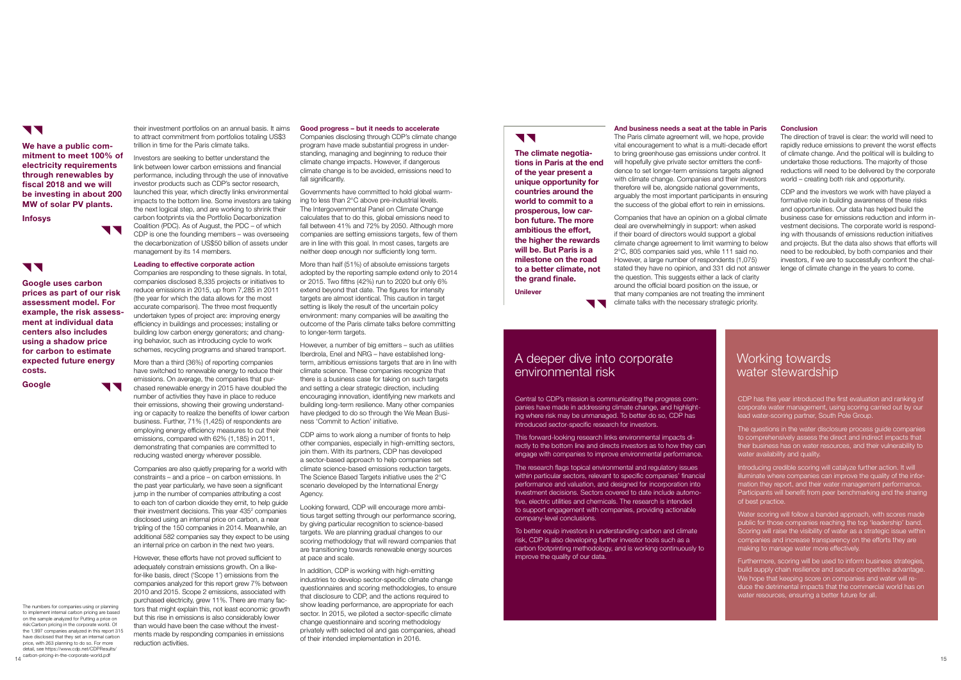their investment portfolios on an annual basis. It aims to attract commitment from portfolios totaling US\$3 trillion in time for the Paris climate talks.

Investors are seeking to better understand the link between lower carbon emissions and financial performance, including through the use of innovative investor products such as CDP's sector research, launched this year, which directly links environmental impacts to the bottom line. Some investors are taking the next logical step, and are working to shrink their carbon footprints via the Portfolio Decarbonization Coalition (PDC). As of August, the PDC – of which CDP is one the founding members – was overseeing the decarbonization of US\$50 billion of assets under management by its 14 members.

## Leading to effective corporate action

Companies are responding to these signals. In total, companies disclosed 8,335 projects or initiatives to reduce emissions in 2015, up from 7,285 in 2011 (the year for which the data allows for the most accurate comparison). The three most frequently undertaken types of project are: improving energy efficiency in buildings and processes; installing or building low carbon energy generators; and changing behavior, such as introducing cycle to work schemes, recycling programs and shared transport.

More than a third (36%) of reporting companies have switched to renewable energy to reduce their emissions. On average, the companies that purchased renewable energy in 2015 have doubled the number of activities they have in place to reduce their emissions, showing their growing understanding or capacity to realize the benefits of lower carbon business. Further, 71% (1,425) of respondents are employing energy efficiency measures to cut their emissions, compared with 62% (1,185) in 2011, demonstrating that companies are committed to reducing wasted energy wherever possible.

More than half (51%) of absolute emissions targets adopted by the reporting sample extend only to 2014 or 2015. Two fifths (42%) run to 2020 but only 6% extend beyond that date. The figures for intensity targets are almost identical. This caution in target setting is likely the result of the uncertain policy environment: many companies will be awaiting the outcome of the Paris climate talks before committing to longer-term targets.

Companies are also quietly preparing for a world with constraints – and a price – on carbon emissions. In the past year particularly, we have seen a significant jump in the number of companies attributing a cost to each ton of carbon dioxide they emit, to help guide their investment decisions. This year 435<sup>2</sup> companies disclosed using an internal price on carbon, a near tripling of the 150 companies in 2014. Meanwhile, an additional 582 companies say they expect to be using an internal price on carbon in the next two years.

However, these efforts have not proved sufficient to adequately constrain emissions growth. On a likefor-like basis, direct ('Scope 1') emissions from the companies analyzed for this report grew 7% between 2010 and 2015. Scope 2 emissions, associated with purchased electricity, grew 11%. There are many factors that might explain this, not least economic growth but this rise in emissions is also considerably lower than would have been the case without the investments made by responding companies in emissions reduction activities.

#### Good progress – but it needs to accelerate

Companies disclosing through CDP's climate change program have made substantial progress in understanding, managing and beginning to reduce their climate change impacts. However, if dangerous climate change is to be avoided, emissions need to fall significantly.

Governments have committed to hold global warming to less than 2°C above pre-industrial levels. The Intergovernmental Panel on Climate Change calculates that to do this, global emissions need to fall between 41% and 72% by 2050. Although more companies are setting emissions targets, few of them are in line with this goal. In most cases, targets are neither deep enough nor sufficiently long term.

Companies that have an opinion on a global climate deal are overwhelmingly in support: when asked if their board of directors would support a global climate change agreement to limit warming to below 2°C, 805 companies said yes, while 111 said no. However, a large number of respondents (1,075) stated they have no opinion, and 331 did not answer the question. This suggests either a lack of clarity around the official board position on the issue, or that many companies are not treating the imminent climate talks with the necessary strategic priority.

However, a number of big emitters – such as utilities Iberdrola, Enel and NRG – have established longterm, ambitious emissions targets that are in line with climate science. These companies recognize that there is a business case for taking on such targets and setting a clear strategic direction, including encouraging innovation, identifying new markets and building long-term resilience. Many other companies have pledged to do so through the We Mean Business 'Commit to Action' initiative.

CDP aims to work along a number of fronts to help other companies, especially in high-emitting sectors, join them. With its partners, CDP has developed a sector-based approach to help companies set climate science-based emissions reduction targets. The Science Based Targets initiative uses the 2°C scenario developed by the International Energy Agency.

Looking forward, CDP will encourage more ambitious target setting through our performance scoring, by giving particular recognition to science-based targets. We are planning gradual changes to our scoring methodology that will reward companies that are transitioning towards renewable energy sources at pace and scale.

The numbers for companies using or planning to implement internal carbon pricing are based on the sample analyzed for Putting a price on risk:Carbon pricing in the corporate world. Of the 1,997 companies analyzed in this report 315 have disclosed that they set an internal carbon price, with 263 planning to do so. For more detail, see https://www.cdp.net/CDPResults/ carbon-pricing-in-the-corporate-world.pdf

#### **Conclusion**

The climate negotiations in Paris at the end of the year present a unique opportunity for countries around the world to commit to a prosperous, low carbon future. The more ambitious the effort, the higher the rewards will be. But Paris is a milestone on the road to a better climate, not the grand finale.

In addition, CDP is working with high-emitting industries to develop sector-specific climate change questionnaires and scoring methodologies, to ensure that disclosure to CDP, and the actions required to show leading performance, are appropriate for each sector. In 2015, we piloted a sector-specific climate change questionnaire and scoring methodology privately with selected oil and gas companies, ahead of their intended implementation in 2016.

# **VV**

Central to CDP's mission is communicating the progress companies have made in addressing climate change, and highlighting where risk may be unmanaged. To better do so, CDP has introduced sector-specific research for investors.

This forward-looking research links environmental impacts directly to the bottom line and directs investors as to how they can engage with companies to improve environmental performance.

The research flags topical environmental and regulatory issues within particular sectors, relevant to specific companies' financial performance and valuation, and designed for incorporation into investment decisions. Sectors covered to date include automotive, electric utilities and chemicals. The research is intended to support engagement with companies, providing actionable company-level conclusions.

To better equip investors in understanding carbon and climate risk, CDP is also developing further investor tools such as a carbon footprinting methodology, and is working continuously to improve the quality of our data.

CDP has this year introduced the first evaluation and ranking of corporate water management, using scoring carried out by our lead water-scoring partner, South Pole Group.

The questions in the water disclosure process guide companies to comprehensively assess the direct and indirect impacts that their business has on water resources, and their vulnerability to water availability and quality.

Introducing credible scoring will catalyze further action. It will illuminate where companies can improve the quality of the information they report, and their water management performance. Participants will benefit from peer benchmarking and the sharing of best practice.

Water scoring will follow a banded approach, with scores made public for those companies reaching the top 'leadership' band. Scoring will raise the visibility of water as a strategic issue within companies and increase transparency on the efforts they are making to manage water more effectively.

Furthermore, scoring will be used to inform business strategies, build supply chain resilience and secure competitive advantage. We hope that keeping score on companies and water will reduce the detrimental impacts that the commercial world has on water resources, ensuring a better future for all.

## A deeper dive into corporate environmental risk

## And business needs a seat at the table in Paris

The Paris climate agreement will, we hope, provide vital encouragement to what is a multi-decade effort to bring greenhouse gas emissions under control. It will hopefully give private sector emitters the confidence to set longer-term emissions targets aligned with climate change. Companies and their investors therefore will be, alongside national governments, arguably the most important participants in ensuring the success of the global effort to rein in emissions.

The direction of travel is clear: the world will need to rapidly reduce emissions to prevent the worst effects of climate change. And the political will is building to undertake those reductions. The majority of those reductions will need to be delivered by the corporate world – creating both risk and opportunity.

CDP and the investors we work with have played a formative role in building awareness of these risks and opportunities. Our data has helped build the business case for emissions reduction and inform investment decisions. The corporate world is responding with thousands of emissions reduction initiatives and projects. But the data also shows that efforts will need to be redoubled, by both companies and their investors, if we are to successfully confront the challenge of climate change in the years to come.

We have a public commitment to meet 100% of electricity requirements through renewables by fiscal 2018 and we will be investing in about 200 MW of solar PV plants.

**TT** 

**TT** 

Infosys



Google uses carbon prices as part of our risk assessment model. For example, the risk assessment at individual data centers also includes using a shadow price for carbon to estimate expected future energy costs.

Google

Unilever

## Working towards water stewardship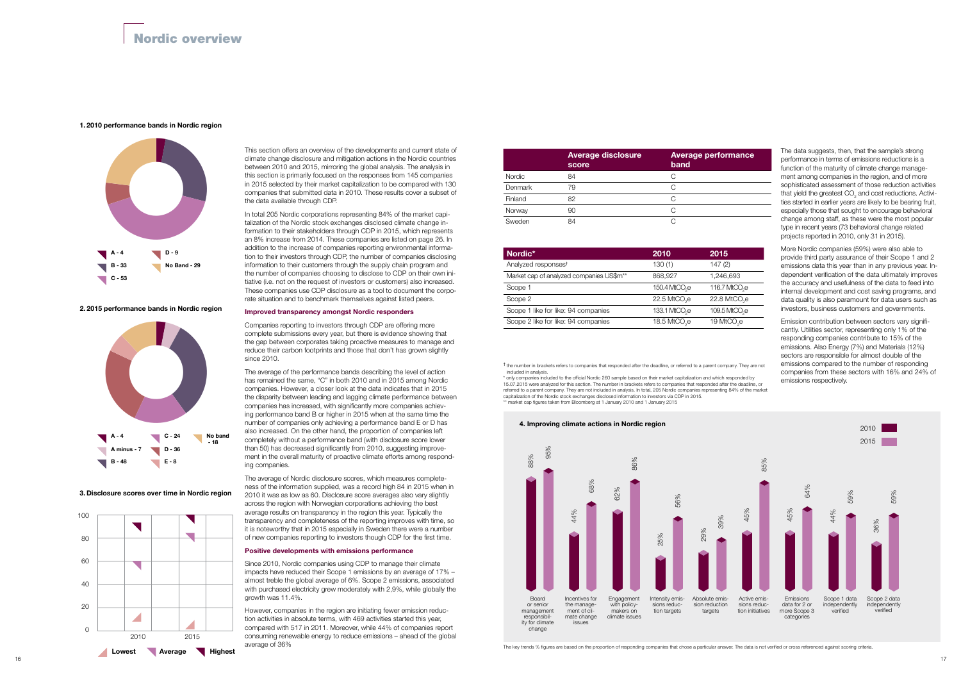

The key trends % figures are based on the proportion of responding companies that chose a particular answer. The data is not verified or cross referenced against scoring criteria.

## mance





3. Disclosure scores over time in Nordic region



## Nordic overview

This section offers an overview of the developments and current state of climate change disclosure and mitigation actions in the Nordic countries between 2010 and 2015, mirroring the global analysis. The analysis in this section is primarily focused on the responses from 145 companies in 2015 selected by their market capitalization to be compared with 130 companies that submitted data in 2010. These results cover a subset of the data available through CDP.

In total 205 Nordic corporations representing 84% of the market capitalization of the Nordic stock exchanges disclosed climate change information to their stakeholders through CDP in 2015, which represents an 8% increase from 2014. These companies are listed on page 26. In addition to the increase of companies reporting environmental information to their investors through CDP, the number of companies disclosing information to their customers through the supply chain program and the number of companies choosing to disclose to CDP on their own initiative (i.e. not on the request of investors or customers) also increased. These companies use CDP disclosure as a tool to document the corporate situation and to benchmark themselves against listed peers.

#### Improved transparency amongst Nordic responders

Companies reporting to investors through CDP are offering more complete submissions every year, but there is evidence showing that the gap between corporates taking proactive measures to manage and reduce their carbon footprints and those that don't has grown slightly since 2010.

The average of the performance bands describing the level of action has remained the same, "C" in both 2010 and in 2015 among Nordic companies. However, a closer look at the data indicates that in 2015 the disparity between leading and lagging climate performance between companies has increased, with significantly more companies achieving performance band B or higher in 2015 when at the same time the number of companies only achieving a performance band E or D has also increased. On the other hand, the proportion of companies left completely without a performance band (with disclosure score lower than 50) has decreased significantly from 2010, suggesting improvement in the overall maturity of proactive climate efforts among responding companies.

\* only companies included to the official Nordic 260 sample based on their market capitalization and which responded by 15.07.2015 were analyzed for this section. The number in brackets refers to companies that responded after the deadline, or referred to a parent company. They are not included in analysis. In total, 205 Nordic companies representing 84% of the market capitalization of the Nordic stock exchanges disclosed information to investors via CDP in 2015. \*\* market cap figures taken from Bloomberg at 1 January 2010 and 1 January 2015

The average of Nordic disclosure scores, which measures completeness of the information supplied, was a record high 84 in 2015 when in 2010 it was as low as 60. Disclosure score averages also vary slightly across the region with Norwegian corporations achieving the best average results on transparency in the region this year. Typically the transparency and completeness of the reporting improves with time, so it is noteworthy that in 2015 especially in Sweden there were a number of new companies reporting to investors though CDP for the first time.

#### Positive developments with emissions performance

Since 2010, Nordic companies using CDP to manage their climate impacts have reduced their Scope 1 emissions by an average of 17% – almost treble the global average of 6%. Scope 2 emissions, associated with purchased electricity grew moderately with 2,9%, while globally the growth was 11.4%.

However, companies in the region are initiating fewer emission reduction activities in absolute terms, with 469 activities started this year, compared with 517 in 2011. Moreover, while 44% of companies report consuming renewable energy to reduce emissions – ahead of the global average of 36%

The data suggests, then, that the sample's strong performance in terms of emissions reductions is a function of the maturity of climate change management among companies in the region, and of more sophisticated assessment of those reduction activities that yield the greatest  $CO<sub>2</sub>$  and cost reductions. Activities started in earlier years are likely to be bearing fruit. especially those that sought to encourage behavioral change among staff, as these were the most popular type in recent years (73 behavioral change related projects reported in 2010, only 31 in 2015).

More Nordic companies (59%) were also able to provide third party assurance of their Scope 1 and 2 emissions data this year than in any previous year. Independent verification of the data ultimately improves the accuracy and usefulness of the data to feed into internal development and cost saving programs, and data quality is also paramount for data users such as investors, business customers and governments.

Emission contribution between sectors vary significantly. Utilities sector, representing only 1% of the responding companies contribute to 15% of the emissions. Also Energy (7%) and Materials (12%) sectors are responsible for almost double of the emissions compared to the number of responding companies from these sectors with 16% and 24% of emissions respectively.

| Nordic*                                              | 2010                                    | 2015                       |
|------------------------------------------------------|-----------------------------------------|----------------------------|
| Analyzed responses <sup>t</sup>                      | 130(1)                                  | 147(2)                     |
| Market cap of analyzed companies US\$m <sup>**</sup> | 868,927                                 | 1,246,693                  |
| Scope 1                                              | 150.4 MtCO <sub>se</sub>                | 116.7 MtCO <sub>re</sub>   |
| Scope 2                                              | $22.5$ MtCO <sub><math>2</math></sub> e | $22.8$ MtCO <sub>2</sub> e |
| Scope 1 like for like: 94 companies                  | 133.1 MtCO <sub>se</sub>                | 109.5 MtCO <sub>2</sub> e  |
| Scope 2 like for like: 94 companies                  | 18.5 MtCO <sub>2</sub> e                | 19 MtCO <sub>2</sub> e     |

|         | <b>Average disclosure</b><br>score | <b>Average perfor</b><br>band |
|---------|------------------------------------|-------------------------------|
| Nordic  | 84                                 | С                             |
| Denmark | 79                                 | C                             |
| Finland | 82                                 | C                             |
| Norway  | 90                                 | C                             |
| Sweden  | 84                                 |                               |

† the number in brackets refers to companies that responded after the deadline, or referred to a parent company. They are not included in analysis.

#### 1. 2010 performance bands in Nordic region

2. 2015 performance bands in Nordic region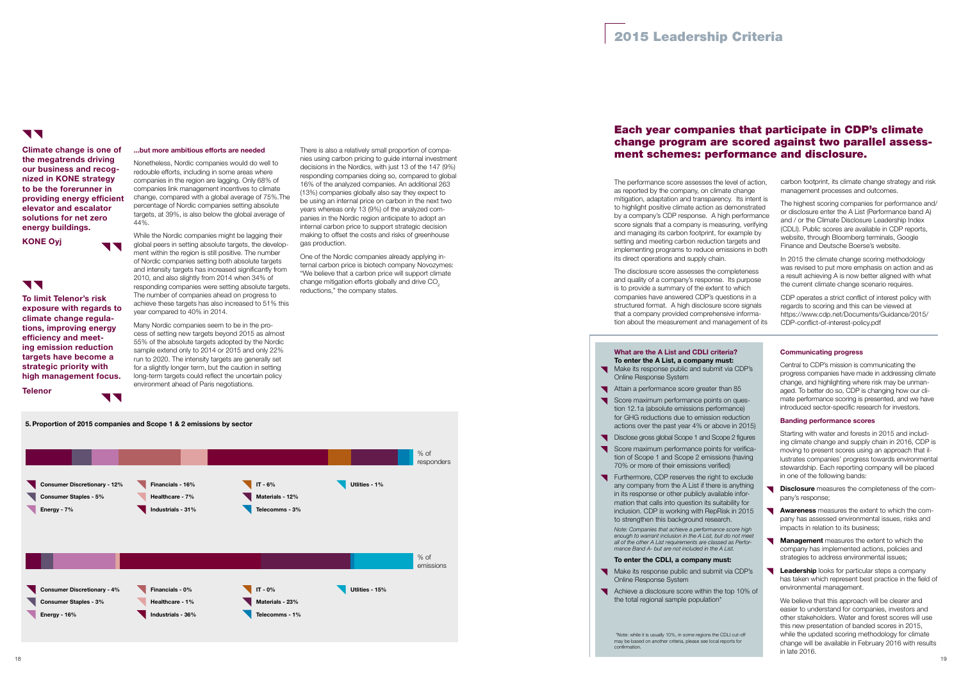

#### ...but more ambitious efforts are needed

Nonetheless, Nordic companies would do well to redouble efforts, including in some areas where companies in the region are lagging. Only 68% of companies link management incentives to climate change, compared with a global average of 75%.The percentage of Nordic companies setting absolute targets, at 39%, is also below the global average of 44%.

While the Nordic companies might be lagging their global peers in setting absolute targets, the development within the region is still positive. The number of Nordic companies setting both absolute targets and intensity targets has increased significantly from 2010, and also slightly from 2014 when 34% of responding companies were setting absolute targets. The number of companies ahead on progress to achieve these targets has also increased to 51% this year compared to 40% in 2014.

Many Nordic companies seem to be in the process of setting new targets beyond 2015 as almost 55% of the absolute targets adopted by the Nordic sample extend only to 2014 or 2015 and only 22% run to 2020. The intensity targets are generally set for a slightly longer term, but the caution in setting long-term targets could reflect the uncertain policy environment ahead of Paris negotiations.

There is also a relatively small proportion of companies using carbon pricing to guide internal investment decisions in the Nordics, with just 13 of the 147 (9%) responding companies doing so, compared to global 16% of the analyzed companies. An additional 263 (13%) companies globally also say they expect to be using an internal price on carbon in the next two years whereas only 13 (9%) of the analyzed companies in the Nordic region anticipate to adopt an internal carbon price to support strategic decision making to offset the costs and risks of greenhouse gas production.

One of the Nordic companies already applying internal carbon price is biotech company Novozymes: "We believe that a carbon price will support climate change mitigation efforts globally and drive CO<sub>2</sub> reductions," the company states.

Climate change is one of the megatrends driving our business and recognized in KONE strategy to be the forerunner in providing energy efficient elevator and escalator solutions for net zero energy buildings.

**TT** 

**11** 

KONE Oyj

## **11**

- Make its response public and submit via CDP's Online Response System
- Attain a performance score greater than 85
- Score maximum performance points on question 12.1a (absolute emissions performance) for GHG reductions due to emission reduction actions over the past year 4% or above in 2015)
- 
- Disclose gross global Scope 1 and Scope 2 figures Score maximum performance points for verification of Scope 1 and Scope 2 emissions (having 70% or more of their emissions verified)
- Furthermore, CDP reserves the right to exclude any company from the A List if there is anything in its response or other publicly available information that calls into question its suitability for inclusion. CDP is working with RepRisk in 2015 to strengthen this background research.

To limit Telenor's risk exposure with regards to climate change regulations, improving energy efficiency and meeting emission reduction targets have become a strategic priority with high management focus.

**Telenor** 

## Each year companies that participate in CDP's climate change program are scored against two parallel assessment schemes: performance and disclosure.

## **V V**

The performance score assesses the level of action, as reported by the company, on climate change mitigation, adaptation and transparency. Its intent is to highlight positive climate action as demonstrated by a company's CDP response. A high performance score signals that a company is measuring, verifying and managing its carbon footprint, for example by setting and meeting carbon reduction targets and implementing programs to reduce emissions in both its direct operations and supply chain.

- **Disclosure** measures the completeness of the company's response;
- Awareness measures the extent to which the company has assessed environmental issues, risks and impacts in relation to its business;
- **Management** measures the extent to which the  $\blacksquare$ company has implemented actions, policies and strategies to address environmental issues;
- **Leadership** looks for particular steps a company has taken which represent best practice in the field of environmental management.

The disclosure score assesses the completeness and quality of a company's response. Its purpose is to provide a summary of the extent to which companies have answered CDP's questions in a structured format. A high disclosure score signals that a company provided comprehensive information about the measurement and management of its carbon footprint, its climate change strategy and risk management processes and outcomes.

The highest scoring companies for performance and/ or disclosure enter the A List (Performance band A) and / or the Climate Disclosure Leadership Index (CDLI). Public scores are available in CDP reports, website, through Bloomberg terminals, Google Finance and Deutsche Boerse's website.

In 2015 the climate change scoring methodology was revised to put more emphasis on action and as a result achieving A is now better aligned with what the current climate change scenario requires.

CDP operates a strict conflict of interest policy with regards to scoring and this can be viewed at https://www.cdp.net/Documents/Guidance/2015/ CDP-conflict-of-interest-policy.pdf

#### What are the A List and CDLI criteria? To enter the A List, a company must:

*Note: Companies that achieve a performance score high*  enough to warrant inclusion in the A List, but do not meet *all of the other A List requirements are classed as Performance Band A- but are not included in the A List.* 

## To enter the CDLI, a company must:

- Make its response public and submit via CDP's Online Response System
- Achieve a disclosure score within the top 10% of the total regional sample population\*

## Communicating progress

Central to CDP's mission is communicating the progress companies have made in addressing climate change, and highlighting where risk may be unmanaged. To better do so, CDP is changing how our climate performance scoring is presented, and we have introduced sector-specific research for investors.

## Banding performance scores

Starting with water and forests in 2015 and including climate change and supply chain in 2016, CDP is moving to present scores using an approach that illustrates companies' progress towards environmental stewardship. Each reporting company will be placed in one of the following bands:

We believe that this approach will be clearer and easier to understand for companies, investors and other stakeholders. Water and forest scores will use this new presentation of banded scores in 2015, while the updated scoring methodology for climate change will be available in February 2016 with results in late 2016.

 \*Note: while it is usually 10%, in some regions the CDLI cut-off may be based on another criteria, please see local reports for confirmation.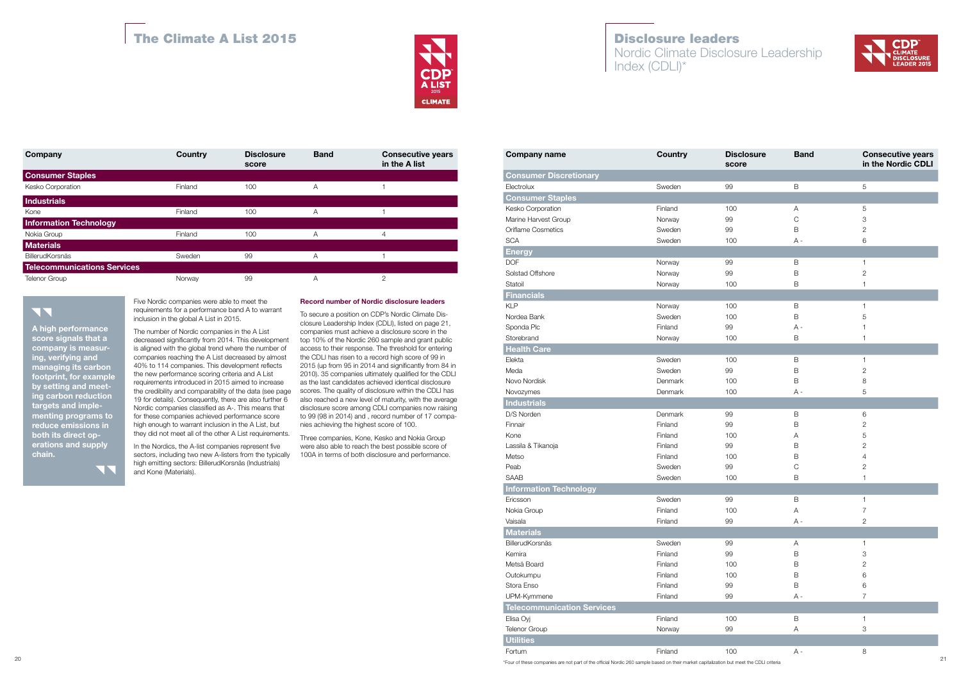| Company                                   | <b>Country</b>                                                                                        | <b>Disclosure</b><br>score | <b>Band</b>  | <b>Consecutive years</b><br>in the A list                                                                     | <b>Company name</b>                                                                                                                     | Country | <b>Disclosure</b><br>score | <b>Band</b>  | <b>Consecutive years</b><br>in the Nordic CDLI |
|-------------------------------------------|-------------------------------------------------------------------------------------------------------|----------------------------|--------------|---------------------------------------------------------------------------------------------------------------|-----------------------------------------------------------------------------------------------------------------------------------------|---------|----------------------------|--------------|------------------------------------------------|
| <b>Consumer Staples</b>                   |                                                                                                       |                            |              |                                                                                                               | <b>Consumer Discretionary</b>                                                                                                           |         |                            |              |                                                |
| Kesko Corporation                         | Finland                                                                                               | 100                        | $\mathsf{A}$ | $\overline{1}$                                                                                                | Electrolux                                                                                                                              | Sweden  | 99                         | B            | 5                                              |
| Industrials                               |                                                                                                       |                            |              |                                                                                                               | <b>Consumer Staples</b>                                                                                                                 |         |                            |              |                                                |
| Kone                                      | Finland                                                                                               | 100                        | $\mathsf{A}$ | $\overline{1}$                                                                                                | Kesko Corporation                                                                                                                       | Finland | 100                        | A            | 5                                              |
| <b>Information Technology</b>             |                                                                                                       |                            |              |                                                                                                               | Marine Harvest Group                                                                                                                    | Norway  | 99                         | $\bigcap$    |                                                |
| Nokia Group                               | Finland                                                                                               | 100                        | $\mathsf{A}$ | $\overline{4}$                                                                                                | <b>Oriflame Cosmetics</b>                                                                                                               | Sweden  | 99                         | B            |                                                |
| <b>Materials</b>                          |                                                                                                       |                            |              |                                                                                                               | <b>SCA</b>                                                                                                                              | Sweden  | 100                        | $A -$        |                                                |
| BillerudKorsnäs                           | Sweden                                                                                                |                            |              | $\overline{1}$                                                                                                | <b>Energy</b>                                                                                                                           |         |                            |              |                                                |
|                                           |                                                                                                       | 99                         | A            |                                                                                                               | <b>DOF</b>                                                                                                                              | Norway  | 99                         | B            |                                                |
| <b>Telecommunications Services</b>        |                                                                                                       |                            |              |                                                                                                               | Solstad Offshore                                                                                                                        | Norway  | 99                         | <sub>B</sub> | $\mathcal{D}$                                  |
| <b>Telenor Group</b>                      | Norway                                                                                                | 99                         | A            | $\overline{2}$                                                                                                | Statoil                                                                                                                                 | Norway  | 100                        | B            |                                                |
|                                           |                                                                                                       |                            |              |                                                                                                               | <b>Financials</b>                                                                                                                       |         |                            |              |                                                |
|                                           | Five Nordic companies were able to meet the                                                           |                            |              | <b>Record number of Nordic disclosure leaders</b>                                                             | <b>KLP</b>                                                                                                                              | Norway  | 100                        | B            |                                                |
| <b>NN</b>                                 | requirements for a performance band A to warrant<br>inclusion in the global A List in 2015.           |                            |              | To secure a position on CDP's Nordic Climate Dis-                                                             | Nordea Bank                                                                                                                             | Sweden  | 100                        | R            |                                                |
| A high performance                        |                                                                                                       |                            |              | closure Leadership Index (CDLI), listed on page 21,                                                           | Sponda Plc                                                                                                                              | Finland | 99                         | $A \cdot$    |                                                |
| score signals that a                      | The number of Nordic companies in the A List<br>decreased significantly from 2014. This development   |                            |              | companies must achieve a disclosure score in the<br>top 10% of the Nordic 260 sample and grant public         | Storebrand                                                                                                                              | Norway  | 100                        | B            |                                                |
| company is measur-                        | is aligned with the global trend where the number of                                                  |                            |              | access to their response. The threshold for entering                                                          | <b>Health Care</b>                                                                                                                      |         |                            |              |                                                |
| ing, verifying and                        | companies reaching the A List decreased by almost                                                     |                            |              | the CDLI has risen to a record high score of 99 in                                                            | Elekta                                                                                                                                  | Sweden  | 100                        | B            |                                                |
| managing its carbon                       | 40% to 114 companies. This development reflects                                                       |                            |              | 2015 (up from 95 in 2014 and significantly from 84 in                                                         | Meda                                                                                                                                    | Sweden  | 99                         | <sub>B</sub> |                                                |
| footprint, for example                    | the new performance scoring criteria and A List<br>requirements introduced in 2015 aimed to increase  |                            |              | 2010). 35 companies ultimately qualified for the CDLI<br>as the last candidates achieved identical disclosure | Novo Nordisk                                                                                                                            | Denmark | 100                        | B            |                                                |
| by setting and meet-                      | the credibility and comparability of the data (see page                                               |                            |              | scores. The quality of disclosure within the CDLI has                                                         | Novozymes                                                                                                                               | Denmark | 100                        | $A -$        |                                                |
| ing carbon reduction                      | 19 for details). Consequently, there are also further 6                                               |                            |              | also reached a new level of maturity, with the average                                                        | <b>Industrials</b>                                                                                                                      |         |                            |              |                                                |
| targets and imple-<br>menting programs to | Nordic companies classified as A-. This means that                                                    |                            |              | disclosure score among CDLI companies now raising<br>to 99 (98 in 2014) and, record number of 17 compa-       | D/S Norden                                                                                                                              | Denmark | 99                         | B            | 6                                              |
| reduce emissions in                       | for these companies achieved performance score<br>high enough to warrant inclusion in the A List, but |                            |              | nies achieving the highest score of 100.                                                                      | Finnair                                                                                                                                 | Finland | 99                         | B            |                                                |
| both its direct op-                       | they did not meet all of the other A List requirements.                                               |                            |              | Three companies, Kone, Kesko and Nokia Group                                                                  | Kone                                                                                                                                    | Finland | 100                        | А            |                                                |
| erations and supply                       | In the Nordics, the A-list companies represent five                                                   |                            |              | were also able to reach the best possible score of                                                            | Lassila & Tikanoja                                                                                                                      | Finland | 99                         | B            |                                                |
| chain.                                    | sectors, including two new A-listers from the typically                                               |                            |              | 100A in terms of both disclosure and performance.                                                             | Metso                                                                                                                                   | Finland | 100                        | B            |                                                |
|                                           | high emitting sectors: BillerudKorsnäs (Industrials)                                                  |                            |              |                                                                                                               | Peab                                                                                                                                    | Sweden  | 99                         |              |                                                |
| 5                                         | and Kone (Materials).                                                                                 |                            |              |                                                                                                               | SAAB                                                                                                                                    | Sweden  | 100                        | B            |                                                |
|                                           |                                                                                                       |                            |              |                                                                                                               | <b>Information Technology</b>                                                                                                           |         |                            |              |                                                |
|                                           |                                                                                                       |                            |              |                                                                                                               | Ericsson                                                                                                                                | Sweden  | 99                         | B            |                                                |
|                                           |                                                                                                       |                            |              |                                                                                                               | Nokia Group                                                                                                                             | Finland | 100                        |              |                                                |
|                                           |                                                                                                       |                            |              |                                                                                                               | Vaisala                                                                                                                                 | Finland | 99                         | A -          | $\overline{2}$                                 |
|                                           |                                                                                                       |                            |              |                                                                                                               | <b>Materials</b>                                                                                                                        |         |                            |              |                                                |
|                                           |                                                                                                       |                            |              |                                                                                                               | <b>BillerudKorsnäs</b>                                                                                                                  | Sweden  | 99                         | A            |                                                |
|                                           |                                                                                                       |                            |              |                                                                                                               | Kemira                                                                                                                                  | Finland | 99                         | B            |                                                |
|                                           |                                                                                                       |                            |              |                                                                                                               | Metsä Board                                                                                                                             | Finland | 100                        | B            |                                                |
|                                           |                                                                                                       |                            |              |                                                                                                               | Outokumpu                                                                                                                               | Finland | 100                        |              |                                                |
|                                           |                                                                                                       |                            |              |                                                                                                               | Stora Enso                                                                                                                              | Finland | 99                         | B            |                                                |
|                                           |                                                                                                       |                            |              |                                                                                                               | UPM-Kymmene                                                                                                                             | Finland | 99                         | A -          |                                                |
|                                           |                                                                                                       |                            |              |                                                                                                               | <b>Telecommunication Services</b>                                                                                                       |         |                            |              |                                                |
|                                           |                                                                                                       |                            |              |                                                                                                               | Elisa Oyj                                                                                                                               | Finland | 100                        | B            |                                                |
|                                           |                                                                                                       |                            |              |                                                                                                               | Telenor Group                                                                                                                           | Norway  | 99                         | A            | 3                                              |
|                                           |                                                                                                       |                            |              |                                                                                                               | <b>Utilities</b>                                                                                                                        |         |                            |              |                                                |
|                                           |                                                                                                       |                            |              |                                                                                                               | Fortum                                                                                                                                  | Finland | 100                        | A -          | 8                                              |
| 20                                        |                                                                                                       |                            |              |                                                                                                               | *Four of these companies are not part of the official Nordic 260 sample based on their market capitalization but meet the CDLI criteria |         |                            |              | 21                                             |





| Company                            | Country | <b>Disclosure</b><br>score | <b>Band</b> | <b>Consecutive years</b><br>in the A list |
|------------------------------------|---------|----------------------------|-------------|-------------------------------------------|
| <b>Consumer Staples</b>            |         |                            |             |                                           |
| Kesko Corporation                  | Finland | 100                        | A           |                                           |
| <b>Industrials</b>                 |         |                            |             |                                           |
| Kone                               | Finland | 100                        | A           |                                           |
| <b>Information Technology</b>      |         |                            |             |                                           |
| Nokia Group                        | Finland | 100                        | A           | 4                                         |
| <b>Materials</b>                   |         |                            |             |                                           |
| <b>BillerudKorsnäs</b>             | Sweden  | 99                         | Α           |                                           |
| <b>Telecommunications Services</b> |         |                            |             |                                           |
| <b>Telenor Group</b>               | Norway  | 99                         | Α           | 2                                         |

## TT

# The Climate A List 2015 **Disclosure leaders**



## Five Nordic companies were able to meet the requirements for a performance band A to warrant inclusion in the global A List in 2015.

## Record number of Nordic disclosure leaders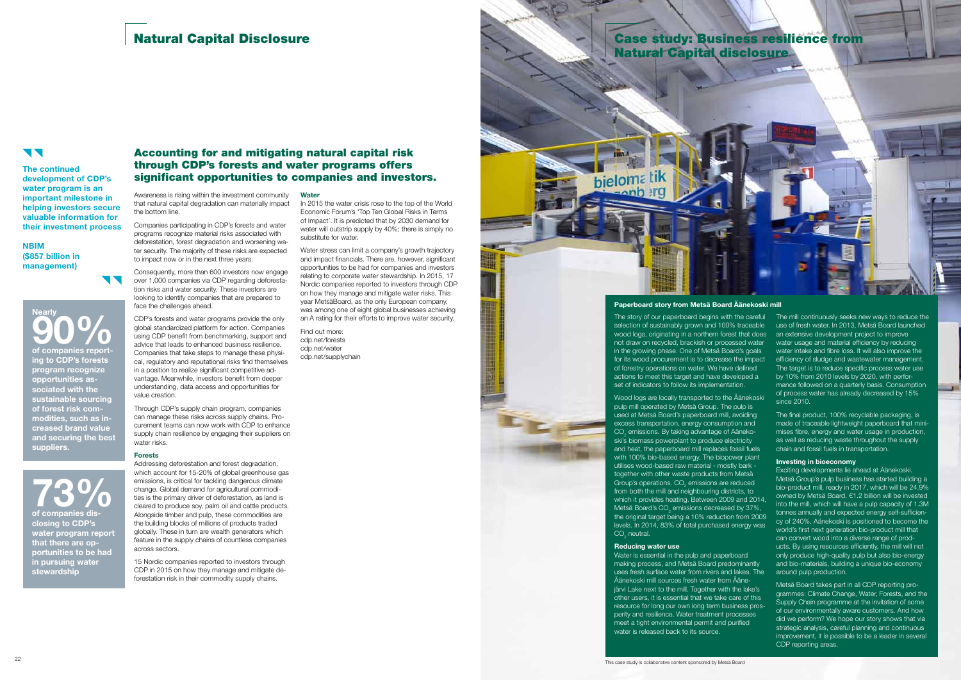# Natural Capital Disclosure Case Study: Business resilience from

## **TT**

Awareness is rising within the investment community that natural capital degradation can materially impact the bottom line.

Consequently, more than 600 investors now engage over 1,000 companies via CDP regarding deforestation risks and water security. These investors are looking to identify companies that are prepared to face the challenges ahead.

Companies participating in CDP's forests and water programs recognize material risks associated with deforestation, forest degradation and worsening water security. The majority of these risks are expected to impact now or in the next three years.

CDP's forests and water programs provide the only global standardized platform for action. Companies using CDP benefit from benchmarking, support and advice that leads to enhanced business resilience. Companies that take steps to manage these physical, regulatory and reputational risks find themselves in a position to realize significant competitive advantage. Meanwhile, investors benefit from deeper understanding, data access and opportunities for value creation.

Through CDP's supply chain program, companies can manage these risks across supply chains. Procurement teams can now work with CDP to enhance supply chain resilience by engaging their suppliers on water risks.

## Forests

Addressing deforestation and forest degradation, which account for 15-20% of global greenhouse gas emissions, is critical for tackling dangerous climate change. Global demand for agricultural commodities is the primary driver of deforestation, as land is cleared to produce soy, palm oil and cattle products. Alongside timber and pulp, these commodities are the building blocks of millions of products traded globally. These in turn are wealth generators which feature in the supply chains of countless companies across sectors.

**Nearly** 90% of companies reporting to CDP's forests program recognize opportunities associated with the sustainable sourcing of forest risk commodities, such as increased brand value and securing the best suppliers.

 $73\%$  of companies disclosing to CDP's water program report that there are opportunities to be had in pursuing water stewardship

15 Nordic companies reported to investors through CDP in 2015 on how they manage and mitigate deforestation risk in their commodity supply chains.

**Water** 

Wood logs are locally transported to the Äänekoski pulp mill operated by Metsä Group. The pulp is used at Metsä Board's paperboard mill, avoiding excess transportation, energy consumption and  $\mathsf{CO}_2$  emissions. By taking advantage of Aänekoski's biomass powerplant to produce electricity and heat, the paperboard mill replaces fossil fuels with 100% bio-based energy. The biopower plant utilises wood-based raw material - mostly bark together with other waste products from Metsä Group's operations.  $CO<sub>2</sub>$  emissions are reduced from both the mill and neighbouring districts, to which it provides heating. Between 2009 and 2014, Metsä Board's CO<sub>2</sub> emissions decreased by 37%, the original target being a 10% reduction from 2009 levels. In 2014, 83% of total purchased energy was  $CO<sub>2</sub>$  neutral.

In 2015 the water crisis rose to the top of the World Economic Forum's 'Top Ten Global Risks in Terms of Impact'. It is predicted that by 2030 demand for water will outstrip supply by 40%; there is simply no substitute for water.

> Water is essential in the pulp and paperboard making process, and Metsä Board predominantly uses fresh surface water from rivers and lakes. The Äänekoski mill sources fresh water from Ääneiärvi Lake next to the mill. Together with the lake's other users, it is essential that we take care of this resource for long our own long term business prosperity and resilience. Water treatment processes meet a tight environmental permit and purified water is released back to its source.

Water stress can limit a company's growth trajectory and impact financials. There are, however, significant opportunities to be had for companies and investors relating to corporate water stewardship. In 2015, 17 Nordic companies reported to investors through CDP on how they manage and mitigate water risks. This year MetsäBoard, as the only European company, was among one of eight global businesses achieving an A rating for their efforts to improve water security.

The mill continuously seeks new ways to reduce the use of fresh water. In 2013, Metsä Board launched an extensive development project to improve water usage and material efficiency by reducing water intake and fibre loss. It will also improve the efficiency of sludge and wastewater management. The target is to reduce specific process water use by 10% from 2010 levels by 2020, with performance followed on a quarterly basis. Consumption of process water has already decreased by 15% since 2010.

Find out more: cdp.net/forests cdp.net/water cdp.net/supplychain

The continued development of CDP's water program is an important milestone in helping investors secure valuable information for their investment process

NBIM (\$857 billion in management)

Natural Capital disclosure

bieloma tik

 $22$ This case study is collaborative content sponsored by Metsä Board



The story of our paperboard begins with the careful selection of sustainably grown and 100% traceable wood logs, originating in a northern forest that does not draw on recycled, brackish or processed water in the growing phase. One of Metsä Board's goals for its wood procurement is to decrease the impact of forestry operations on water. We have defined actions to meet this target and have developed a set of indicators to follow its implementation.

#### Reducing water use

The final product, 100% recyclable packaging, is made of traceable lightweight paperboard that minimises fibre, energy and water usage in production, as well as reducing waste throughout the supply chain and fossil fuels in transportation.

#### Investing in bioeconomy

Exciting developments lie ahead at Äänekoski. Metsä Group's pulp business has started building a bio-product mill, ready in 2017, which will be 24.9% owned by Metsä Board. €1.2 billion will be invested into the mill, which will have a pulp capacity of 1.3M tonnes annually and expected energy self-sufficiency of 240%. Aänekoski is positioned to become the world's first next generation bio-product mill that can convert wood into a diverse range of products. By using resources efficiently, the mill will not only produce high-quality pulp but also bio-energy and bio-materials, building a unique bio-economy around pulp production.

Metsä Board takes part in all CDP reporting programmes: Climate Change, Water, Forests, and the Supply Chain programme at the invitation of some of our environmentally aware customers. And how did we perform? We hope our story shows that via strategic analysis, careful planning and continuous improvement, it is possible to be a leader in several CDP reporting areas.

## Accounting for and mitigating natural capital risk through CDP's forests and water programs offers significant opportunities to companies and investors.

## Paperboard story from Metsä Board Äänekoski mill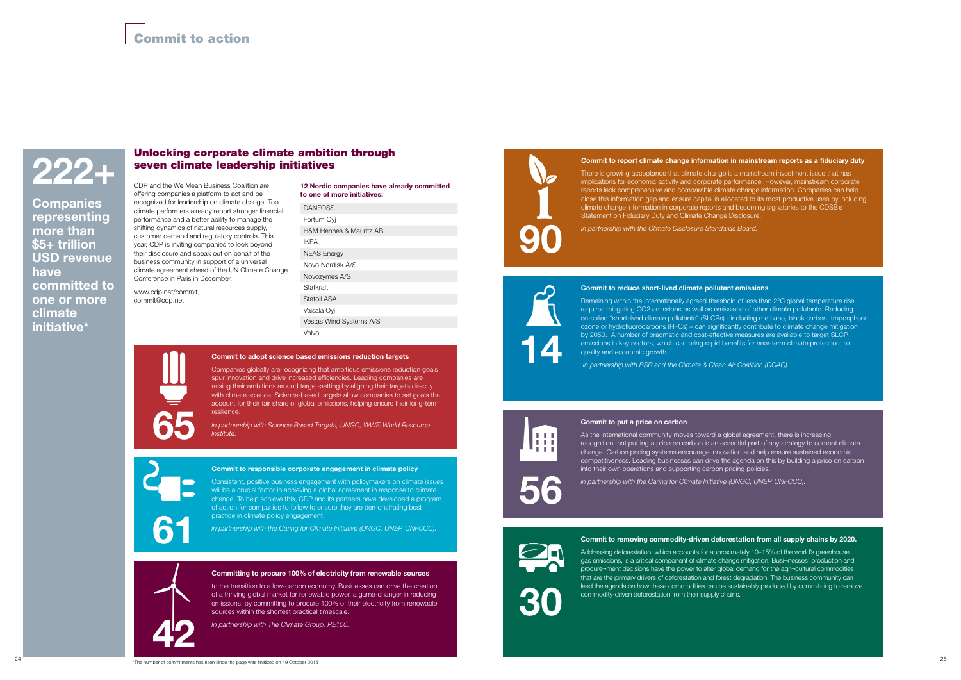## Commit to adopt science based emissions reduction targets

Companies globally are recognizing that ambitious emissions reduction goals spur innovation and drive increased efficiencies. Leading companies are raising their ambitions around target-setting by aligning their targets directly with climate science. Science-based targets allow companies to set goals that account for their fair share of global emissions, helping ensure their long-term resilience.

*In partnership with Science-Based Targets, UNGC, WWF, World Resource Institute.*

## Committing to procure 100% of electricity from renewable sources

to the transition to a low-carbon economy. Businesses can drive the creation of a thriving global market for renewable power, a game-changer in reducing emissions, by committing to procure 100% of their electricity from renewable sources within the shortest practical timescale.

*In partnership with The Climate Group, RE100.* 

## Commit to removing commodity-driven deforestation from all supply chains by 2020.

Addressing deforestation, which accounts for approximately 10–15% of the world's greenhouse gas emissions, is a critical component of climate change mitigation. Busi¬nesses' production and procure¬ment decisions have the power to alter global demand for the agri¬cultural commodities that are the primary drivers of deforestation and forest degradation. The business community can lead the agenda on how these commodities can be sustainably produced by commit-ting to remove commodity-driven deforestation from their supply chains.

Commit to responsible corporate engagement in climate policy

Consistent, positive business engagement with policymakers on climate issues will be a crucial factor in achieving a global agreement in response to climate change. To help achieve this, CDP and its partners have developed a program of action for companies to follow to ensure they are demonstrating best practice in climate policy engagement.

Remaining within the internationally agreed threshold of less than 2°C global temperature rise requires mitigating CO2 emissions as well as emissions of other climate pollutants. Reducing so-called "short-lived climate pollutants" (SLCPs) - including methane, black carbon, tropospheric ozone or hydrofluorocarbons (HFCs) – can significantly contribute to climate change mitigation by 2050. A number of pragmatic and cost-effective measures are available to target SLCP emissions in key sectors, which can bring rapid benefits for near-term climate protection, air quality and economic growth.

*In partnership with the Caring for Climate Initiative (UNGC, UNEP, UNFCCC).*

#### Commit to put a price on carbon

As the international community moves toward a global agreement, there is increasing recognition that putting a price on carbon is an essential part of any strategy to combat climate change. Carbon pricing systems encourage innovation and help ensure sustained economic competitiveness. Leading businesses can drive the agenda on this by building a price on carbon into their own operations and supporting carbon pricing policies.

**Companies** representing more than \$5+ trillion USD revenue have committed to one or more climate initiative\*

*In partnership with the Caring for Climate Initiative (UNGC, UNEP, UNFCCC).*

## Commit to report climate change information in mainstream reports as a fiduciary duty

There is growing acceptance that climate change is a mainstream investment issue that has implications for economic activity and corporate performance. However, mainstream corporate reports lack comprehensive and comparable climate change information. Companies can help close this information gap and ensure capital is allocated to its most productive uses by including climate change information in corporate reports and becoming signatories to the CDSB's Statement on Fiduciary Duty and Climate Change Disclosure.

*In partnership with the Climate Disclosure Standards Board.* 

#### Commit to reduce short-lived climate pollutant emissions

 *In partnership with BSR and the Climate & Clean Air Coalition (CCAC).* 

CDP and the We Mean Business Coalition are offering companies a platform to act and be recognized for leadership on climate change. Top climate performers already report stronger financial performance and a better ability to manage the shifting dynamics of natural resources supply, customer demand and regulatory controls. This year, CDP is inviting companies to look beyond their disclosure and speak out on behalf of the business community in support of a universal climate agreement ahead of the UN Climate Change Conference in Paris in December.

www.cdp.net/commit, commit@cdp.net

| 12 Nordic companies have already committed |
|--------------------------------------------|
| to one of more initiatives:                |

| <b>DANFOSS</b>          |
|-------------------------|
| Fortum Ovi              |
| H&M Hennes & Mauritz AB |
| <b>IKFA</b>             |
| <b>NEAS Energy</b>      |
| Novo Nordisk A/S        |
| Novozymes A/S           |
| Statkraft               |
| Statoil ASA             |
| Vaisala Ovi             |
| Vestas Wind Systems A/S |
| Volvo                   |



65



30

# 61





14

## Unlocking corporate climate ambition through seven climate leadership initiatives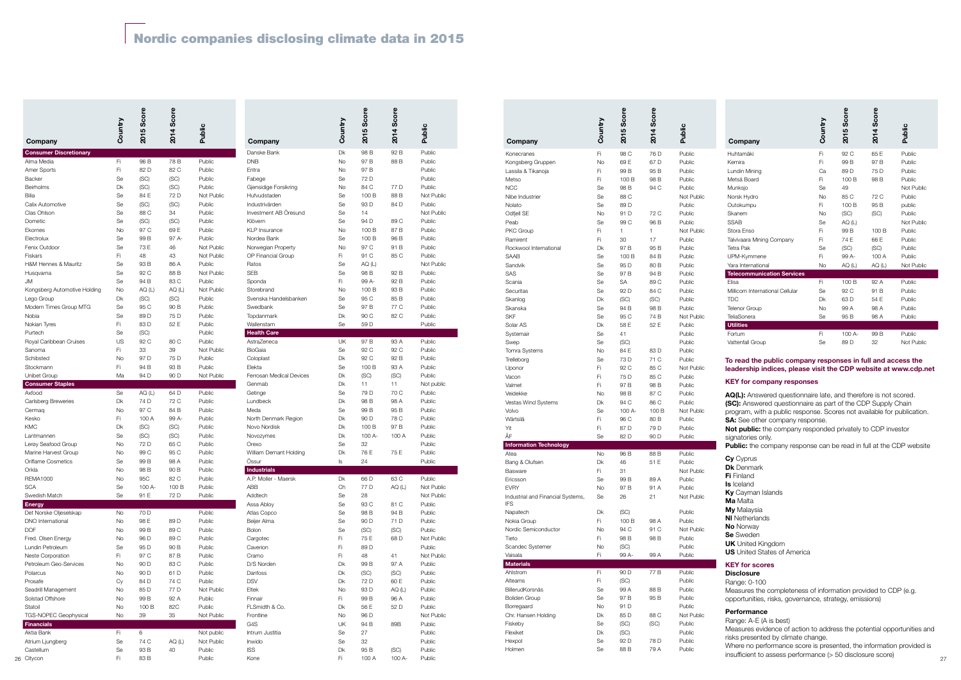| Company                           | Ω        | S.<br>5<br>$\overline{5}$ | ဖိ<br>4<br>$\mathbf -$<br>ର | Public               | Company                             | h<br>O        | $rac{6}{5}$<br>5<br>$\mathbf -$<br>ସ | S.<br>4<br>ୡ  | Public               | Company                                          | ntry<br>Cou     | S.<br><b>LO</b><br>ର | Û,<br>٦<br>ୡ | Public               | Company                                                                                                                                | htry     | Ø)<br><b>LO</b><br>201 | Sco<br>$\blacktriangleleft$<br>$\bf{S}$ | Public               |
|-----------------------------------|----------|---------------------------|-----------------------------|----------------------|-------------------------------------|---------------|--------------------------------------|---------------|----------------------|--------------------------------------------------|-----------------|----------------------|--------------|----------------------|----------------------------------------------------------------------------------------------------------------------------------------|----------|------------------------|-----------------------------------------|----------------------|
| <b>Consumer Discretionary</b>     |          |                           |                             |                      | Danske Bank                         | Dk            | 98 B                                 | 92 B          | Public               | Konecranes                                       | Fi              | 98 C                 | 76 D         | Public               | Huhtamäki                                                                                                                              | Fi       | 92 C                   | 65 E                                    | Public               |
| Alma Media                        | Fi       | 96 B                      | 78 B                        | Public               | <b>DNB</b>                          | No            | 97 B                                 | 88 B          | Public               | Kongsberg Gruppen                                | No              | 69 E                 | 67 D         | Public               | Kemira                                                                                                                                 | Fi       | 99 B                   | 97 B                                    | Public               |
| <b>Amer Sports</b>                | Fi       | 82 D                      | 82 C                        | Public               | Entra                               | No            | 97 B                                 |               | Public               | Lassila & Tikanoja                               | Fi              | 99 B                 | 95 B         | Public               | Lundin Mining                                                                                                                          | Ca       | 89 D                   | 75 D                                    | Public               |
| Backer<br>Beirholms               | Se<br>Dk | (SC)<br>(SC)              | (SC)<br>(SC)                | Public<br>Public     | Fabege<br>Gjensidige Forsikring     | Se<br>No      | 72 D<br>84 C                         | 77 D          | Public<br>Public     | Metso                                            | Fi              | 100 B                | 98 B         | Public               | Metsä Board                                                                                                                            | Fi       | 100 E                  | 98 B                                    | Public               |
| Bilia                             | Se       | 84 E                      | 72 D                        | Not Public           | Hufvudstaden                        | Se            | 100 E                                | 88 B          | Not Public           | <b>NCC</b><br>Nibe Industrier                    | Se<br>Se        | 98 B<br>88 C         | 94 C         | Public<br>Not Public | Munksjo<br>Norsk Hydro                                                                                                                 | Se<br>No | 49<br>85 C             | 72 C                                    | Not Public<br>Public |
| Calix Automotive                  | Se       | (SC)                      | (SC)                        | Public               | Industrivärden                      | Se            | 93 D                                 | 84 D          | Public               | Nolato                                           | Se              | 89 D                 |              | Public               | Outokumpu                                                                                                                              | Fi       | 100 B                  | 95 B                                    | public               |
| Clas Ohlson                       | Se       | 88 C                      | 34                          | Public               | Investment AB Öresund               | Se            | 14                                   |               | Not Public           | Odfjell SE                                       | No              | 91 D                 | 72 C         | Public               | Skanem                                                                                                                                 | No       | (SC)                   | (SC)                                    | Public               |
| Dometic                           | Se       | (SC)                      | (SC)                        | Public               | Klövern                             | Se            | 94 D                                 | 89 C          | Public               | Peab                                             | Se              | 99 C                 | 96 B         | Public               | <b>SSAB</b>                                                                                                                            | Se       | AQ(L)                  |                                         | Not Public           |
| Ekornes                           | No       | 97 C                      | 69 E                        | Public               | <b>KLP</b> Insurance                | No            | 100 B                                | 87 B          | Public               | PKC Group                                        |                 |                      |              | Not Public           | Stora Enso                                                                                                                             | Fi       | 99 B                   | 100 B                                   | Public               |
| Electrolux                        | Se       | 99 B                      | 97 A                        | Public               | Nordea Bank                         | Se            | 100 B                                | 96 B          | Public               | Ramirent                                         |                 | 30                   | 17           | Public               | Talvivaara Mining Company                                                                                                              | Fi       | 74 E                   | 66 E                                    | Public               |
| Fenix Outdoor                     | Se       | 73 F                      | 46                          | Not Public           | Norwegian Property                  | No            | 97 C                                 | 91 B          | Public               | Rockwool International                           | Dk              | 97 B                 | 95 B         | Public               | <b>Tetra Pak</b>                                                                                                                       | Se       | (SC)                   | (SC)                                    | Public               |
| Fiskars                           | Fi       | 48                        | 43                          | Not Public           | <b>OP Financial Group</b>           | Fi.           | 91 C                                 | 85 C          | Public               | SAAB                                             | Se              | 100 B                | 84 B         | Public               | UPM-Kymmene                                                                                                                            | Fi.      | 99 A                   | 100 A                                   | Public               |
| H&M Hennes & Mauritz              | Se       | 93 B                      | 86 A<br>88 B                | Public               | Ratos                               | Se            | AQ (L)                               |               | Not Public           | Sandvik                                          | Se              | 95 D                 | 80 B         | Public               | Yara International                                                                                                                     | No       | AQ(L)                  | AQ (L)                                  | Not Public           |
| Husqvarna<br>JM                   | Se<br>Se | 92 C<br>94 B              | 83 C                        | Not Public<br>Public | <b>SEB</b><br>Sponda                | Se<br>Fi.     | 98 B<br>99 A                         | 92 B<br>92 B  | Public<br>Public     | SAS                                              | Se              | 97 B                 | 94 B         | Public               | <b>Telecommunication Services</b>                                                                                                      | Fi.      |                        |                                         |                      |
| Kongsberg Automotive Holding      | No       | AQ (L                     | AQ (L                       | Not Public           | Storebrand                          | No            | 100 B                                | 93 B          | Public               | Scania<br>Securitas                              | Se<br>Se        | <b>SA</b><br>92 D    | 89 C<br>84 C | Public<br>Public     | Elisa<br>Millicom International Cellular                                                                                               | Se       | 100 B<br>92 C          | 92 A<br>91 B                            | Public<br>Public     |
| Lego Group                        | Dk       | (SC)                      | (SC)                        | Public               | Svenska Handelsbanken               | Se            | 95 C                                 | 85 B          | Public               | Skanlog                                          | Dk              | (SC)                 | (SC)         | Public               | <b>TDC</b>                                                                                                                             | Dk       | 63 D                   | 54 E                                    | Public               |
| Modern Times Group MTG            | Se       | 95 C                      | 90 <sub>B</sub>             | Public               | Swedbank                            | Se            | 97 B                                 | 77 C          | Public               | Skanska                                          | Se              | 94 B                 | 98 B         | Public               | <b>Telenor Group</b>                                                                                                                   | No       | 99 A                   | 98 A                                    | Public               |
| Nobia                             | Se       | 89 D                      | 75 D                        | Public               | Topdanmark                          | Dk            | 90 C                                 | 82 C          | Public               | <b>SKF</b>                                       | Se              | 95 C                 | 74 B         | Not Public           | TeliaSonera                                                                                                                            | Se       | 95 B                   | 98 A                                    | Public               |
| Nokian Tyres                      | Fi       | 83 D                      | 52 E                        | Public               | Wallenstam                          | Se            | 59 D                                 |               | Public               | Solar AS                                         | Dk              | 58 E                 | 52 E         | Public               | <b>Utilities</b>                                                                                                                       |          |                        |                                         |                      |
| Purtech                           | Se       | (SC)                      |                             | Public               | <b>Health Care</b>                  |               |                                      |               |                      | Systemair                                        | Se              | 41                   |              | Public               | Fortum                                                                                                                                 | Fi       | 100 A-                 | 99 B                                    | Public               |
| Royal Caribbean Cruises           | US       | 92 C                      | 80 C                        | Public               | AstraZeneca                         | UK            | 97 B                                 | 93 A          | Public               | Swep                                             | Se              | (SC)                 |              | Public               | Vattenfall Group                                                                                                                       | Se       | 89 D                   | 32                                      | Not Public           |
| Sanoma                            | Fi       | 33                        | 39                          | Not Public           | BioGaia                             | Se            | 92 C                                 | 92 C          | Public               | Tomra Systems                                    | No              | 84 E                 | 83 D         | Public               |                                                                                                                                        |          |                        |                                         |                      |
| Schibsted                         | No       | 97 <sub>D</sub>           | 75 D                        | Public               | Coloplast                           | Dk            | 92 C                                 | 92 B          | Public               | Trelleborg                                       | Se              | 73 D                 | 71 C         | Public               | To read the public company responses in full and access the                                                                            |          |                        |                                         |                      |
| Stockmann                         | Fi       | 94 B                      | 93 B                        | Public               | Elekta                              | Se            | 100 B                                | 93 A          | Public               | Uponor                                           |                 | 92 C                 | 85 C         | Not Public           | leadership indices, please visit the CDP website at www.cdp.net                                                                        |          |                        |                                         |                      |
| Unibet Group                      | Ma       | 94 D                      | 90 D                        | Not Public           | Ferrosan Medical Devices            | Dk            | (SC)                                 | (SC)          | Public               | Vacon                                            |                 | 75 D                 | 85 C         | Public               | <b>KEY</b> for company responses                                                                                                       |          |                        |                                         |                      |
| <b>Consumer Staples</b><br>Axfood | Se       | AQ(L)                     | 64 D                        | Public               | Genmab<br>Getinge                   | Dk<br>Se      | 11<br>79 D                           | 11<br>70 C    | Not public<br>Public | Valmet<br>Veidekke                               |                 | 97 B                 | 98 B<br>87 C | Public<br>Public     |                                                                                                                                        |          |                        |                                         |                      |
| <b>Carlsberg Breweries</b>        | Dk       | 74 D                      | 72 C                        | Public               | Lundbeck                            | Dk            | 98 B                                 | 98 A          | Public               | Vestas Wind Systems                              | No<br>Dk        | 98 B<br>94 C         | 86 C         | Public               | AQ(L): Answered questionnaire late, and therefore is not scored.                                                                       |          |                        |                                         |                      |
| Cermag                            | No       | 97 C                      | 84 B                        | Public               | Meda                                | Se            | 99 B                                 | 95 B          | Public               | Volvo                                            | Se              | 100 A                | 100 B        | Not Public           | (SC): Answered questionnaire as part of the CDP Supply Chain<br>program, with a public response. Scores not available for publication. |          |                        |                                         |                      |
| Kesko                             | Fi       | 100 A                     | 99 A                        | Public               | North Denmark Region                | Dk            | 90 D                                 | 78 C          | Public               | Wärtsilä                                         |                 | 96 C                 | 80 B         | Public               | <b>SA:</b> See other company response.                                                                                                 |          |                        |                                         |                      |
| <b>KMC</b>                        | Dk       | (SC)                      | (SC)                        | Public               | Novo Nordisk                        | Dk            | 100 B                                | 97 B          | Public               | Yit                                              |                 | 87 D                 | 79 D         | Public               | Not public: the company responded privately to CDP investor                                                                            |          |                        |                                         |                      |
| Lantmannen                        | Se       | (SC)                      | (SC)                        | Public               | Novozymes                           | Dk            | 100 A                                | 100 A         | Public               |                                                  | Se              | 82 D                 | 90 D         | Public               | signatories only.                                                                                                                      |          |                        |                                         |                      |
| Lerøy Seafood Group               | No       | 72 D                      | 65 C                        | Public               | Orexo                               | Se            | 32                                   |               | Public               | <b>Information Technology</b>                    |                 |                      |              |                      | <b>Public:</b> the company response can be read in full at the CDP website                                                             |          |                        |                                         |                      |
| Marine Harvest Group              | No       | 99 C                      | 95 C                        | Public               | William Demant Holding              | Dk            | 76 E                                 | 75 E          | Public               | Atea                                             | No              | 96 B                 | 88 B         | Public               | Cy Cyprus                                                                                                                              |          |                        |                                         |                      |
| <b>Oriflame Cosmetics</b>         | Se       | 99 B                      | 98 A                        | Public               | Ossur                               | $\mathsf{ls}$ | 24                                   |               | Public               | Bang & Olufsen                                   | Dk              | 46                   | 51 E         | Public               | <b>Dk</b> Denmark                                                                                                                      |          |                        |                                         |                      |
| Orkla                             |          | 98 B                      | 90 B<br>82 C                | Public               | Industrials<br>A.P. Moller - Maersk |               |                                      |               | Public               | Basware                                          |                 | -31                  |              | Not Public           | Fi Finland                                                                                                                             |          |                        |                                         |                      |
| <b>REMA1000</b><br><b>SCA</b>     | No<br>Se | 95C<br>100 A-             | 100 B                       | Public<br>Public     | ABB                                 | Dk<br>Ch      | 66 D<br>77 D                         | 63 C<br>AQ(L) | Not Public           | Ericsson                                         | Se              | 99 B                 | 89 A         | Public               | <b>Is Iceland</b>                                                                                                                      |          |                        |                                         |                      |
| Swedish Match                     | Se       | 91 E                      | 72 D                        | Public               | Addtech                             | Se            | 28                                   |               | Not Public           | <b>EVRY</b><br>Industrial and Financial Systems, | <b>No</b><br>Se | 97 B<br>26           | 91 A<br>21   | Public<br>Not Public | Ky Cayman Islands                                                                                                                      |          |                        |                                         |                      |
| <b>Energy</b>                     |          |                           |                             |                      | Assa Abloy                          | Se            | 93 C                                 | 81 C          | Public               | <b>IFS</b>                                       |                 |                      |              |                      | Ma Malta                                                                                                                               |          |                        |                                         |                      |
| Det Norske Oljeselskap            | No       | 70 D                      |                             | Public               | Atlas Copco                         | Se            | 98 B                                 | 94 B          | Public               | Napatech                                         | Dk              | (SC)                 |              | Public               | <b>My</b> Malaysia                                                                                                                     |          |                        |                                         |                      |
| DNO International                 | No       | 98 E                      | 89 D                        | Public               | Beijer Alma                         | Se            | 90 D                                 | 71 D          | Public               | Nokia Group                                      | Fi              | 100 B                | 98 A         | Public               | <b>NI</b> Netherlands                                                                                                                  |          |                        |                                         |                      |
| <b>DOF</b>                        | No       | 99 B                      | 89 C                        | Public               | Bolon                               | Se            | (SC)                                 | (SC)          | Public               | Nordic Semiconductor                             | No              | 94 C                 | 91 C         | Not Public           | <b>No Norway</b>                                                                                                                       |          |                        |                                         |                      |
| Fred. Olsen Energy                | No       | 96 D                      | 89 C                        | Public               | Cargotec                            | Fi            | 75 E                                 | 68 D          | Not Public           | Tieto                                            | Fi              | 98 B                 | 98 B         | Public               | Se Sweden<br><b>UK</b> United Kingdom                                                                                                  |          |                        |                                         |                      |
| Lundin Petroleum                  | Se       | 95 D                      | 90 B                        | Public               | Caverion                            | Fi.           | 89 <sub>D</sub>                      |               | Public               | Scandec Systemer                                 | No              | (SC)                 |              | Public               | <b>US</b> United States of America                                                                                                     |          |                        |                                         |                      |
| <b>Neste Corporation</b>          | Fi       | 97 C                      | 87 B                        | Public               | Cramo                               | Fi            | 48                                   | 41            | Not Public           | Vaisala                                          | Fi              | 99 A-                | 99 A         | Public               |                                                                                                                                        |          |                        |                                         |                      |
| Petroleum Geo-Services            | No       | 90 D                      | 83 C                        | Public               | D/S Norden                          | Dk            | 99 B                                 | 97 A          | Public               | <b>Materials</b>                                 |                 |                      |              |                      | <b>KEY for scores</b>                                                                                                                  |          |                        |                                         |                      |
| Polarcus                          | No       | 90 D                      | 61 D                        | Public               | Danfoss                             | Dk            | (SC)                                 | (SC)          | Public               | Ahlstrom                                         | Fi              | 90 D                 | 77 B         | Public               | <b>Disclosure</b>                                                                                                                      |          |                        |                                         |                      |
| Prosafe<br>Seadrill Management    | Cy<br>No | 84 D<br>85 D              | 74 C<br>77 D                | Public<br>Not Public | <b>DSV</b><br>Eltek                 | Dk<br>No      | 72 D<br>93 D                         | 60 E<br>AQ(L) | Public<br>Public     | Alteams<br>BillerudKorsnäs                       | Fi<br>Se        | (SC)<br>99 A         | 88 B         | Public<br>Public     | Range: 0-100                                                                                                                           |          |                        |                                         |                      |
| Solstad Offshore                  | No       | 99 B                      | 92 A                        | Public               | Finnair                             | Fi            | 99 B                                 | 96 A          | Public               | <b>Boliden Group</b>                             | Se              | 97 B                 | 95 B         | Public               | Measures the completeness of information provided to CDP (e.g.                                                                         |          |                        |                                         |                      |
| Statoil                           | No       | 100 B                     | 82C                         | Public               | FLSmidth & Co.                      | Dk            | 56 E                                 | 52 D          | Public               | Borregaard                                       | No              | 91 D                 |              | Public               | opportunities, risks, governance, strategy, emissions)                                                                                 |          |                        |                                         |                      |
| TGS-NOPEC Geophysical             | No       | 39                        | 35                          | Not Public           | Frontline                           | No            | 96 D                                 |               | Not Public           | Chr. Hansen Holding                              | Dk              | 85 D                 | 88 C         | Not Public           | <b>Performance</b>                                                                                                                     |          |                        |                                         |                      |
| Financials                        |          |                           |                             |                      | G4S                                 | UK            | 94 B                                 | 89B           | Public               | Fiskeby                                          | Se              | (SC)                 | (SC)         | Public               | Range: A-E (A is best)                                                                                                                 |          |                        |                                         |                      |
| Aktia Bank                        | Fi       | - 6                       |                             | Not public           | Intrum Justitia                     | Se            | 27                                   |               | Public               | Flexiket                                         | Dk              | (SC)                 |              | Public               | Measures evidence of action to address the potential opportunities and                                                                 |          |                        |                                         |                      |
| Atrium Ljungberg                  | Se       | 74 C                      | AQ(L)                       | Not Public           | Inwido                              | Se            | 32                                   |               | Public               | Hexpol                                           | Se              | 92 D                 | 78 D         | Public               | risks presented by climate change.                                                                                                     |          |                        |                                         |                      |
| Castellum                         | Se       | 93 B                      | 40                          | Public               | <b>ISS</b>                          | Dk            | 95 <sub>B</sub>                      | (SC)          | Public               | Holmen                                           | Se              | 88 B                 | 79 A         | Public               | Where no performance score is presented, the information provided is                                                                   |          |                        |                                         |                      |
| 26 Citycon                        | Fi       | 83 B                      |                             | Public               | Kone                                | Fi            | 100 A                                | 100 A-        | Public               |                                                  |                 |                      |              |                      | insufficient to assess performance (> 50 disclosure score)                                                                             |          |                        |                                         | 27                   |

- Cy Cyprus Dk Denmark **Fi** Finland Is Iceland Ky Cayman Islands Ma Malta **My** Malaysia **NI** Netherlands No Norway Se Sweden UK United Kingdom
- **US** United States of America

## **KEY** for scores

| Company                                                                                                                                                                | Country   | 2015 Score   | 2014 Score   | Public                   |  |
|------------------------------------------------------------------------------------------------------------------------------------------------------------------------|-----------|--------------|--------------|--------------------------|--|
| <b>Consumer Discretionary</b><br>Alma Media                                                                                                                            | Fi        | 96 B         | 78 B         | Public                   |  |
| Amer Sports                                                                                                                                                            | Fi        | 82 D         | 82 C         | Public                   |  |
| Backer                                                                                                                                                                 | Se        | (SC)         | (SC)         | Public                   |  |
| <b>Beirholms</b>                                                                                                                                                       | Dk        |              | (SC)         | Public                   |  |
| Bilia                                                                                                                                                                  | Se        | (SC)<br>84 E | 72 D         | Not Public               |  |
| Calix Automotive                                                                                                                                                       | Se        | (SC)         | (SC)         | Public                   |  |
| Clas Ohlson                                                                                                                                                            | Se        | 88 C         | 34           | Public                   |  |
| Dometic                                                                                                                                                                | Se        | (SC)         | (SC)         | Public                   |  |
| Ekornes                                                                                                                                                                | <b>No</b> | 97 C         | 69 E         | Public                   |  |
| Electrolux                                                                                                                                                             | Se        | 99 B         | 97 A-        | Public                   |  |
| Fenix Outdoor                                                                                                                                                          | Se        | 73 E         | 46           | Not Public               |  |
| Fiskars                                                                                                                                                                | Fi.       | 48           | 43           | Not Public               |  |
| <b>H&amp;M Hennes &amp; Mauritz</b>                                                                                                                                    | Se        | 93 B         | 86 A         | Public                   |  |
| Husqvarna                                                                                                                                                              | Se        | 92 C         | 88 B         | Not Public               |  |
| JМ                                                                                                                                                                     | Se        | 94 B         | 83 C         | Public                   |  |
| Kongsberg Automotive Holding                                                                                                                                           | No        | AQ (L)       | AQ $(L)$     | Not Public               |  |
| Lego Group                                                                                                                                                             | <b>Dk</b> | (SC)         | (SC)         | Public                   |  |
| Modern Times Group MTG                                                                                                                                                 | Se        | 95 C         | 90 B         | Public                   |  |
| Nobia                                                                                                                                                                  | Se        | 89 D         | 75 D         | Public                   |  |
| Nokian Tyres                                                                                                                                                           | Fi.       | 83 D         | 52 E         | Public                   |  |
| Purtech                                                                                                                                                                | Se        | (SC)         |              | Public                   |  |
| Royal Caribbean Cruises                                                                                                                                                | US        | 92 C         | 80 C         | Public                   |  |
| Sanoma                                                                                                                                                                 | Fi.       | 33           | 39           | Not Public               |  |
| Schibsted                                                                                                                                                              | <b>No</b> | 97 D         | 75 D         | Public                   |  |
| Stockmann                                                                                                                                                              | Fi        | 94 B         | 93 B         | Public                   |  |
| Unibet Group                                                                                                                                                           | Ma        | 94 D         | 90 D         | Not Public               |  |
| <b>Consumer Staples</b>                                                                                                                                                |           |              |              |                          |  |
| Axfood                                                                                                                                                                 | Se        | AQ $(L)$     | 64 D         | Public                   |  |
| Carlsberg Breweries                                                                                                                                                    | Dk        | 74 D         | 72 C         | Public                   |  |
| Cermaq                                                                                                                                                                 | No        | 97 C         | 84 B         | Public                   |  |
| Kesko                                                                                                                                                                  | Fi        | 100 A        | 99 A-        | Public                   |  |
| KMC                                                                                                                                                                    | Dk        | (SC)         | (SC)         | Public                   |  |
| Lantmannen                                                                                                                                                             | Se        | (SC)         | (SC)         | Public                   |  |
| Lerøy Seafood Group                                                                                                                                                    | <b>No</b> | 72 D         | 65 C         | Public                   |  |
| Marine Harvest Group                                                                                                                                                   | No        | 99 C         | 95 C         | Public                   |  |
| Oriflame Cosmetics                                                                                                                                                     | Se        | 99 B         | 98 A         | Public                   |  |
| Orkla                                                                                                                                                                  | No        | 98 B         | 90 B         | Public                   |  |
| <b>REMA1000</b>                                                                                                                                                        | No        | 95C          | 82 C         | Public                   |  |
| <b>SCA</b>                                                                                                                                                             | Se        | 100 A-       | 100 B        | Public                   |  |
| Swedish Match                                                                                                                                                          | Se        | 91 E         | 72 D         | Public                   |  |
| <b>Energy</b>                                                                                                                                                          |           |              |              |                          |  |
| Det Norske Oljeselskap                                                                                                                                                 | <b>No</b> | 70 D         |              | Public                   |  |
| DNO International                                                                                                                                                      | No        | 98 E         | 89 D         | Public                   |  |
| <b>DOF</b>                                                                                                                                                             | No        | 99 B         | 89 C         | Public                   |  |
| Fred. Olsen Energy                                                                                                                                                     | No        | 96 D         | 89 C         | Public                   |  |
| Lundin Petroleum                                                                                                                                                       | Se        | 95 D         | 90 B         | Public                   |  |
| Neste Corporation<br>Petroleum Geo-Services                                                                                                                            | Fi        | 97 C         | 87 B<br>83 C | Public                   |  |
|                                                                                                                                                                        |           |              |              | Public                   |  |
|                                                                                                                                                                        | No        | 90 D         |              |                          |  |
|                                                                                                                                                                        | No        | 90 D         | 61 D         | Public                   |  |
|                                                                                                                                                                        | Сy        | 84 D         | 74 C         | Public                   |  |
|                                                                                                                                                                        | No        | 85 D         | 77 D         | Not Public               |  |
|                                                                                                                                                                        | No        | 99 B         | 92 A         | Public                   |  |
|                                                                                                                                                                        | No        | 100 B        | 82C          | Public                   |  |
|                                                                                                                                                                        | No        | 39           | 35           | Not Public               |  |
|                                                                                                                                                                        |           | 6            |              |                          |  |
|                                                                                                                                                                        | Fi<br>Se  | 74 C         | AQ (L)       | Not public<br>Not Public |  |
| Polarcus<br>Prosafe<br>Seadrill Management<br>Solstad Offshore<br>Statoil<br>TGS-NOPEC Geophysical<br><b>Financials</b><br>Aktia Bank<br>Atrium Ljungberg<br>Castellum | Se        | 93 B         | 40           | Public                   |  |

| Danske Bank<br>Dk<br>98 B<br>92 B<br>Public<br><b>DNB</b><br>No<br>97 B<br>88 B<br>Public<br><b>No</b><br>97 B<br>Entra<br>Public<br>Fabege<br>Se<br>72 D<br>Public<br>Gjensidige Forsikring<br><b>No</b><br>84 C<br>77 D<br>Public<br>Hufvudstaden<br>Se<br>88 B<br>Not Public<br>100 B<br>Industrivärden<br>Se<br>84 D<br>93 D<br>Public<br>Investment AB Öresund<br>Se<br>14<br>Not Public<br>Se<br>Public<br>Klövern<br>94 D<br>89 C<br><b>KLP</b> Insurance<br>No<br>100 B<br>87 B<br>Public<br>Nordea Bank<br>Se<br>100 B<br>96 B<br>Public<br>Norwegian Property<br>No<br>97 C<br>91 B<br>Public<br>OP Financial Group<br>Fi<br>85 C<br>Public<br>91 C<br>Se<br>Not Public<br>Ratos<br>AQ (L)<br>Se<br>SEB<br>98 B<br>92 B<br>Public<br>Fi<br>99 A-<br>92 B<br>Sponda<br>Public<br>No<br>93 B<br>Public<br>Storebrand<br>100 B<br>Svenska Handelsbanken<br>Se<br>95 C<br>85 B<br>Public<br>Swedbank<br>Se<br>97 B<br>77 C<br>Public<br>Dk<br>90 C<br>82 C<br>Topdanmark<br>Public<br>Wallenstam<br>Se<br>59 D<br>Public<br><b>Health Care</b><br>UK<br>AstraZeneca<br>97 B<br>93 A<br>Public<br>BioGaia<br>Se<br>92 C<br>92 C<br>Public<br>Dk<br>Coloplast<br>92 C<br>92 B<br>Public<br>Se<br>93 A<br>Elekta<br>100 B<br>Public<br>Ferrosan Medical Devices<br>Dk<br>(SC)<br>(SC)<br>Public<br>Dk<br>11<br>11<br>Genmab<br>Not public<br>Se<br>79 D<br>70 C<br>Getinge<br>Public<br>Lundbeck<br>Dk<br>98 B<br>98 A<br>Public<br>Se<br>95 B<br>Meda<br>99 B<br>Public<br>Dk<br>78 C<br>North Denmark Region<br>90 D<br>Public<br>Novo Nordisk<br>97 B<br>Dk<br>100 B<br>Public<br>100 A<br>Novozymes<br>Dk<br>100 A-<br>Public<br>Se<br>32<br>Public<br>Orexo<br>76 E<br>William Demant Holding<br>Dk<br>75 E<br>Public<br>Össur<br>24<br>Public<br>ls<br><b>Industrials</b><br>A.P. Moller - Maersk<br>Dk<br>63 C<br>66 D<br>Public<br>Ch<br>77 D<br>AQ(L)<br>ABB<br>Not Public<br>Addtech<br>Se<br>Not Public<br>28<br>Assa Abloy<br>Se<br>93 C<br>81 C<br>Public<br>Atlas Copco<br>Se<br>Public<br>98 B<br>94 B<br>Beijer Alma<br>Se<br>90 D<br>71 D<br>Public<br>Bolon<br>Se<br>(SC)<br>(SC)<br>Public<br>Fi<br>75 E<br>68 D<br>Cargotec<br>Not Public<br>Caverion<br>Fi<br>89 D<br>Public<br>Fi<br>48<br>41<br>Not Public<br>Cramo<br>Dk<br>99 B<br>D/S Norden<br>97 A<br>Public<br>Danfoss<br>Dk<br>(SC)<br>(SC)<br>Public<br>DSV<br>Dk<br>72 D<br>60 E<br>Public<br>No<br>Eltek<br>93 D<br>AQ (L)<br>Public<br>Finnair<br>Fi<br>99 B<br>96 A<br>Public<br>FLSmidth & Co.<br>Dk<br>56 E<br>52 D<br>Public<br>Frontline<br>No<br>Not Public<br>96 D<br>G4S<br>UK<br>Public<br>94 B<br>89B<br>Intrum Justitia<br>Se<br>27<br>Public<br>Inwido<br>Se<br>32<br>Public<br>ISS<br>Dk<br>95 B<br>(SC)<br>Public | Company | Country | 2015 Score | 2014 Score | Public |
|----------------------------------------------------------------------------------------------------------------------------------------------------------------------------------------------------------------------------------------------------------------------------------------------------------------------------------------------------------------------------------------------------------------------------------------------------------------------------------------------------------------------------------------------------------------------------------------------------------------------------------------------------------------------------------------------------------------------------------------------------------------------------------------------------------------------------------------------------------------------------------------------------------------------------------------------------------------------------------------------------------------------------------------------------------------------------------------------------------------------------------------------------------------------------------------------------------------------------------------------------------------------------------------------------------------------------------------------------------------------------------------------------------------------------------------------------------------------------------------------------------------------------------------------------------------------------------------------------------------------------------------------------------------------------------------------------------------------------------------------------------------------------------------------------------------------------------------------------------------------------------------------------------------------------------------------------------------------------------------------------------------------------------------------------------------------------------------------------------------------------------------------------------------------------------------------------------------------------------------------------------------------------------------------------------------------------------------------------------------------------------------------------------------------------------------------------------------------------------------------------------------------------------------------------------------------------------------------------------------------------------------------------------------------------------------------------------------------|---------|---------|------------|------------|--------|
|                                                                                                                                                                                                                                                                                                                                                                                                                                                                                                                                                                                                                                                                                                                                                                                                                                                                                                                                                                                                                                                                                                                                                                                                                                                                                                                                                                                                                                                                                                                                                                                                                                                                                                                                                                                                                                                                                                                                                                                                                                                                                                                                                                                                                                                                                                                                                                                                                                                                                                                                                                                                                                                                                                                      |         |         |            |            |        |
|                                                                                                                                                                                                                                                                                                                                                                                                                                                                                                                                                                                                                                                                                                                                                                                                                                                                                                                                                                                                                                                                                                                                                                                                                                                                                                                                                                                                                                                                                                                                                                                                                                                                                                                                                                                                                                                                                                                                                                                                                                                                                                                                                                                                                                                                                                                                                                                                                                                                                                                                                                                                                                                                                                                      |         |         |            |            |        |
|                                                                                                                                                                                                                                                                                                                                                                                                                                                                                                                                                                                                                                                                                                                                                                                                                                                                                                                                                                                                                                                                                                                                                                                                                                                                                                                                                                                                                                                                                                                                                                                                                                                                                                                                                                                                                                                                                                                                                                                                                                                                                                                                                                                                                                                                                                                                                                                                                                                                                                                                                                                                                                                                                                                      |         |         |            |            |        |
|                                                                                                                                                                                                                                                                                                                                                                                                                                                                                                                                                                                                                                                                                                                                                                                                                                                                                                                                                                                                                                                                                                                                                                                                                                                                                                                                                                                                                                                                                                                                                                                                                                                                                                                                                                                                                                                                                                                                                                                                                                                                                                                                                                                                                                                                                                                                                                                                                                                                                                                                                                                                                                                                                                                      |         |         |            |            |        |
|                                                                                                                                                                                                                                                                                                                                                                                                                                                                                                                                                                                                                                                                                                                                                                                                                                                                                                                                                                                                                                                                                                                                                                                                                                                                                                                                                                                                                                                                                                                                                                                                                                                                                                                                                                                                                                                                                                                                                                                                                                                                                                                                                                                                                                                                                                                                                                                                                                                                                                                                                                                                                                                                                                                      |         |         |            |            |        |
|                                                                                                                                                                                                                                                                                                                                                                                                                                                                                                                                                                                                                                                                                                                                                                                                                                                                                                                                                                                                                                                                                                                                                                                                                                                                                                                                                                                                                                                                                                                                                                                                                                                                                                                                                                                                                                                                                                                                                                                                                                                                                                                                                                                                                                                                                                                                                                                                                                                                                                                                                                                                                                                                                                                      |         |         |            |            |        |
|                                                                                                                                                                                                                                                                                                                                                                                                                                                                                                                                                                                                                                                                                                                                                                                                                                                                                                                                                                                                                                                                                                                                                                                                                                                                                                                                                                                                                                                                                                                                                                                                                                                                                                                                                                                                                                                                                                                                                                                                                                                                                                                                                                                                                                                                                                                                                                                                                                                                                                                                                                                                                                                                                                                      |         |         |            |            |        |
|                                                                                                                                                                                                                                                                                                                                                                                                                                                                                                                                                                                                                                                                                                                                                                                                                                                                                                                                                                                                                                                                                                                                                                                                                                                                                                                                                                                                                                                                                                                                                                                                                                                                                                                                                                                                                                                                                                                                                                                                                                                                                                                                                                                                                                                                                                                                                                                                                                                                                                                                                                                                                                                                                                                      |         |         |            |            |        |
|                                                                                                                                                                                                                                                                                                                                                                                                                                                                                                                                                                                                                                                                                                                                                                                                                                                                                                                                                                                                                                                                                                                                                                                                                                                                                                                                                                                                                                                                                                                                                                                                                                                                                                                                                                                                                                                                                                                                                                                                                                                                                                                                                                                                                                                                                                                                                                                                                                                                                                                                                                                                                                                                                                                      |         |         |            |            |        |
|                                                                                                                                                                                                                                                                                                                                                                                                                                                                                                                                                                                                                                                                                                                                                                                                                                                                                                                                                                                                                                                                                                                                                                                                                                                                                                                                                                                                                                                                                                                                                                                                                                                                                                                                                                                                                                                                                                                                                                                                                                                                                                                                                                                                                                                                                                                                                                                                                                                                                                                                                                                                                                                                                                                      |         |         |            |            |        |
|                                                                                                                                                                                                                                                                                                                                                                                                                                                                                                                                                                                                                                                                                                                                                                                                                                                                                                                                                                                                                                                                                                                                                                                                                                                                                                                                                                                                                                                                                                                                                                                                                                                                                                                                                                                                                                                                                                                                                                                                                                                                                                                                                                                                                                                                                                                                                                                                                                                                                                                                                                                                                                                                                                                      |         |         |            |            |        |
|                                                                                                                                                                                                                                                                                                                                                                                                                                                                                                                                                                                                                                                                                                                                                                                                                                                                                                                                                                                                                                                                                                                                                                                                                                                                                                                                                                                                                                                                                                                                                                                                                                                                                                                                                                                                                                                                                                                                                                                                                                                                                                                                                                                                                                                                                                                                                                                                                                                                                                                                                                                                                                                                                                                      |         |         |            |            |        |
|                                                                                                                                                                                                                                                                                                                                                                                                                                                                                                                                                                                                                                                                                                                                                                                                                                                                                                                                                                                                                                                                                                                                                                                                                                                                                                                                                                                                                                                                                                                                                                                                                                                                                                                                                                                                                                                                                                                                                                                                                                                                                                                                                                                                                                                                                                                                                                                                                                                                                                                                                                                                                                                                                                                      |         |         |            |            |        |
|                                                                                                                                                                                                                                                                                                                                                                                                                                                                                                                                                                                                                                                                                                                                                                                                                                                                                                                                                                                                                                                                                                                                                                                                                                                                                                                                                                                                                                                                                                                                                                                                                                                                                                                                                                                                                                                                                                                                                                                                                                                                                                                                                                                                                                                                                                                                                                                                                                                                                                                                                                                                                                                                                                                      |         |         |            |            |        |
|                                                                                                                                                                                                                                                                                                                                                                                                                                                                                                                                                                                                                                                                                                                                                                                                                                                                                                                                                                                                                                                                                                                                                                                                                                                                                                                                                                                                                                                                                                                                                                                                                                                                                                                                                                                                                                                                                                                                                                                                                                                                                                                                                                                                                                                                                                                                                                                                                                                                                                                                                                                                                                                                                                                      |         |         |            |            |        |
|                                                                                                                                                                                                                                                                                                                                                                                                                                                                                                                                                                                                                                                                                                                                                                                                                                                                                                                                                                                                                                                                                                                                                                                                                                                                                                                                                                                                                                                                                                                                                                                                                                                                                                                                                                                                                                                                                                                                                                                                                                                                                                                                                                                                                                                                                                                                                                                                                                                                                                                                                                                                                                                                                                                      |         |         |            |            |        |
|                                                                                                                                                                                                                                                                                                                                                                                                                                                                                                                                                                                                                                                                                                                                                                                                                                                                                                                                                                                                                                                                                                                                                                                                                                                                                                                                                                                                                                                                                                                                                                                                                                                                                                                                                                                                                                                                                                                                                                                                                                                                                                                                                                                                                                                                                                                                                                                                                                                                                                                                                                                                                                                                                                                      |         |         |            |            |        |
|                                                                                                                                                                                                                                                                                                                                                                                                                                                                                                                                                                                                                                                                                                                                                                                                                                                                                                                                                                                                                                                                                                                                                                                                                                                                                                                                                                                                                                                                                                                                                                                                                                                                                                                                                                                                                                                                                                                                                                                                                                                                                                                                                                                                                                                                                                                                                                                                                                                                                                                                                                                                                                                                                                                      |         |         |            |            |        |
|                                                                                                                                                                                                                                                                                                                                                                                                                                                                                                                                                                                                                                                                                                                                                                                                                                                                                                                                                                                                                                                                                                                                                                                                                                                                                                                                                                                                                                                                                                                                                                                                                                                                                                                                                                                                                                                                                                                                                                                                                                                                                                                                                                                                                                                                                                                                                                                                                                                                                                                                                                                                                                                                                                                      |         |         |            |            |        |
|                                                                                                                                                                                                                                                                                                                                                                                                                                                                                                                                                                                                                                                                                                                                                                                                                                                                                                                                                                                                                                                                                                                                                                                                                                                                                                                                                                                                                                                                                                                                                                                                                                                                                                                                                                                                                                                                                                                                                                                                                                                                                                                                                                                                                                                                                                                                                                                                                                                                                                                                                                                                                                                                                                                      |         |         |            |            |        |
|                                                                                                                                                                                                                                                                                                                                                                                                                                                                                                                                                                                                                                                                                                                                                                                                                                                                                                                                                                                                                                                                                                                                                                                                                                                                                                                                                                                                                                                                                                                                                                                                                                                                                                                                                                                                                                                                                                                                                                                                                                                                                                                                                                                                                                                                                                                                                                                                                                                                                                                                                                                                                                                                                                                      |         |         |            |            |        |
|                                                                                                                                                                                                                                                                                                                                                                                                                                                                                                                                                                                                                                                                                                                                                                                                                                                                                                                                                                                                                                                                                                                                                                                                                                                                                                                                                                                                                                                                                                                                                                                                                                                                                                                                                                                                                                                                                                                                                                                                                                                                                                                                                                                                                                                                                                                                                                                                                                                                                                                                                                                                                                                                                                                      |         |         |            |            |        |
|                                                                                                                                                                                                                                                                                                                                                                                                                                                                                                                                                                                                                                                                                                                                                                                                                                                                                                                                                                                                                                                                                                                                                                                                                                                                                                                                                                                                                                                                                                                                                                                                                                                                                                                                                                                                                                                                                                                                                                                                                                                                                                                                                                                                                                                                                                                                                                                                                                                                                                                                                                                                                                                                                                                      |         |         |            |            |        |
|                                                                                                                                                                                                                                                                                                                                                                                                                                                                                                                                                                                                                                                                                                                                                                                                                                                                                                                                                                                                                                                                                                                                                                                                                                                                                                                                                                                                                                                                                                                                                                                                                                                                                                                                                                                                                                                                                                                                                                                                                                                                                                                                                                                                                                                                                                                                                                                                                                                                                                                                                                                                                                                                                                                      |         |         |            |            |        |
|                                                                                                                                                                                                                                                                                                                                                                                                                                                                                                                                                                                                                                                                                                                                                                                                                                                                                                                                                                                                                                                                                                                                                                                                                                                                                                                                                                                                                                                                                                                                                                                                                                                                                                                                                                                                                                                                                                                                                                                                                                                                                                                                                                                                                                                                                                                                                                                                                                                                                                                                                                                                                                                                                                                      |         |         |            |            |        |
|                                                                                                                                                                                                                                                                                                                                                                                                                                                                                                                                                                                                                                                                                                                                                                                                                                                                                                                                                                                                                                                                                                                                                                                                                                                                                                                                                                                                                                                                                                                                                                                                                                                                                                                                                                                                                                                                                                                                                                                                                                                                                                                                                                                                                                                                                                                                                                                                                                                                                                                                                                                                                                                                                                                      |         |         |            |            |        |
|                                                                                                                                                                                                                                                                                                                                                                                                                                                                                                                                                                                                                                                                                                                                                                                                                                                                                                                                                                                                                                                                                                                                                                                                                                                                                                                                                                                                                                                                                                                                                                                                                                                                                                                                                                                                                                                                                                                                                                                                                                                                                                                                                                                                                                                                                                                                                                                                                                                                                                                                                                                                                                                                                                                      |         |         |            |            |        |
|                                                                                                                                                                                                                                                                                                                                                                                                                                                                                                                                                                                                                                                                                                                                                                                                                                                                                                                                                                                                                                                                                                                                                                                                                                                                                                                                                                                                                                                                                                                                                                                                                                                                                                                                                                                                                                                                                                                                                                                                                                                                                                                                                                                                                                                                                                                                                                                                                                                                                                                                                                                                                                                                                                                      |         |         |            |            |        |
|                                                                                                                                                                                                                                                                                                                                                                                                                                                                                                                                                                                                                                                                                                                                                                                                                                                                                                                                                                                                                                                                                                                                                                                                                                                                                                                                                                                                                                                                                                                                                                                                                                                                                                                                                                                                                                                                                                                                                                                                                                                                                                                                                                                                                                                                                                                                                                                                                                                                                                                                                                                                                                                                                                                      |         |         |            |            |        |
|                                                                                                                                                                                                                                                                                                                                                                                                                                                                                                                                                                                                                                                                                                                                                                                                                                                                                                                                                                                                                                                                                                                                                                                                                                                                                                                                                                                                                                                                                                                                                                                                                                                                                                                                                                                                                                                                                                                                                                                                                                                                                                                                                                                                                                                                                                                                                                                                                                                                                                                                                                                                                                                                                                                      |         |         |            |            |        |
|                                                                                                                                                                                                                                                                                                                                                                                                                                                                                                                                                                                                                                                                                                                                                                                                                                                                                                                                                                                                                                                                                                                                                                                                                                                                                                                                                                                                                                                                                                                                                                                                                                                                                                                                                                                                                                                                                                                                                                                                                                                                                                                                                                                                                                                                                                                                                                                                                                                                                                                                                                                                                                                                                                                      |         |         |            |            |        |
|                                                                                                                                                                                                                                                                                                                                                                                                                                                                                                                                                                                                                                                                                                                                                                                                                                                                                                                                                                                                                                                                                                                                                                                                                                                                                                                                                                                                                                                                                                                                                                                                                                                                                                                                                                                                                                                                                                                                                                                                                                                                                                                                                                                                                                                                                                                                                                                                                                                                                                                                                                                                                                                                                                                      |         |         |            |            |        |
|                                                                                                                                                                                                                                                                                                                                                                                                                                                                                                                                                                                                                                                                                                                                                                                                                                                                                                                                                                                                                                                                                                                                                                                                                                                                                                                                                                                                                                                                                                                                                                                                                                                                                                                                                                                                                                                                                                                                                                                                                                                                                                                                                                                                                                                                                                                                                                                                                                                                                                                                                                                                                                                                                                                      |         |         |            |            |        |
|                                                                                                                                                                                                                                                                                                                                                                                                                                                                                                                                                                                                                                                                                                                                                                                                                                                                                                                                                                                                                                                                                                                                                                                                                                                                                                                                                                                                                                                                                                                                                                                                                                                                                                                                                                                                                                                                                                                                                                                                                                                                                                                                                                                                                                                                                                                                                                                                                                                                                                                                                                                                                                                                                                                      |         |         |            |            |        |
|                                                                                                                                                                                                                                                                                                                                                                                                                                                                                                                                                                                                                                                                                                                                                                                                                                                                                                                                                                                                                                                                                                                                                                                                                                                                                                                                                                                                                                                                                                                                                                                                                                                                                                                                                                                                                                                                                                                                                                                                                                                                                                                                                                                                                                                                                                                                                                                                                                                                                                                                                                                                                                                                                                                      |         |         |            |            |        |
|                                                                                                                                                                                                                                                                                                                                                                                                                                                                                                                                                                                                                                                                                                                                                                                                                                                                                                                                                                                                                                                                                                                                                                                                                                                                                                                                                                                                                                                                                                                                                                                                                                                                                                                                                                                                                                                                                                                                                                                                                                                                                                                                                                                                                                                                                                                                                                                                                                                                                                                                                                                                                                                                                                                      |         |         |            |            |        |
|                                                                                                                                                                                                                                                                                                                                                                                                                                                                                                                                                                                                                                                                                                                                                                                                                                                                                                                                                                                                                                                                                                                                                                                                                                                                                                                                                                                                                                                                                                                                                                                                                                                                                                                                                                                                                                                                                                                                                                                                                                                                                                                                                                                                                                                                                                                                                                                                                                                                                                                                                                                                                                                                                                                      |         |         |            |            |        |
|                                                                                                                                                                                                                                                                                                                                                                                                                                                                                                                                                                                                                                                                                                                                                                                                                                                                                                                                                                                                                                                                                                                                                                                                                                                                                                                                                                                                                                                                                                                                                                                                                                                                                                                                                                                                                                                                                                                                                                                                                                                                                                                                                                                                                                                                                                                                                                                                                                                                                                                                                                                                                                                                                                                      |         |         |            |            |        |
|                                                                                                                                                                                                                                                                                                                                                                                                                                                                                                                                                                                                                                                                                                                                                                                                                                                                                                                                                                                                                                                                                                                                                                                                                                                                                                                                                                                                                                                                                                                                                                                                                                                                                                                                                                                                                                                                                                                                                                                                                                                                                                                                                                                                                                                                                                                                                                                                                                                                                                                                                                                                                                                                                                                      |         |         |            |            |        |
|                                                                                                                                                                                                                                                                                                                                                                                                                                                                                                                                                                                                                                                                                                                                                                                                                                                                                                                                                                                                                                                                                                                                                                                                                                                                                                                                                                                                                                                                                                                                                                                                                                                                                                                                                                                                                                                                                                                                                                                                                                                                                                                                                                                                                                                                                                                                                                                                                                                                                                                                                                                                                                                                                                                      |         |         |            |            |        |
|                                                                                                                                                                                                                                                                                                                                                                                                                                                                                                                                                                                                                                                                                                                                                                                                                                                                                                                                                                                                                                                                                                                                                                                                                                                                                                                                                                                                                                                                                                                                                                                                                                                                                                                                                                                                                                                                                                                                                                                                                                                                                                                                                                                                                                                                                                                                                                                                                                                                                                                                                                                                                                                                                                                      |         |         |            |            |        |
|                                                                                                                                                                                                                                                                                                                                                                                                                                                                                                                                                                                                                                                                                                                                                                                                                                                                                                                                                                                                                                                                                                                                                                                                                                                                                                                                                                                                                                                                                                                                                                                                                                                                                                                                                                                                                                                                                                                                                                                                                                                                                                                                                                                                                                                                                                                                                                                                                                                                                                                                                                                                                                                                                                                      |         |         |            |            |        |
|                                                                                                                                                                                                                                                                                                                                                                                                                                                                                                                                                                                                                                                                                                                                                                                                                                                                                                                                                                                                                                                                                                                                                                                                                                                                                                                                                                                                                                                                                                                                                                                                                                                                                                                                                                                                                                                                                                                                                                                                                                                                                                                                                                                                                                                                                                                                                                                                                                                                                                                                                                                                                                                                                                                      |         |         |            |            |        |
|                                                                                                                                                                                                                                                                                                                                                                                                                                                                                                                                                                                                                                                                                                                                                                                                                                                                                                                                                                                                                                                                                                                                                                                                                                                                                                                                                                                                                                                                                                                                                                                                                                                                                                                                                                                                                                                                                                                                                                                                                                                                                                                                                                                                                                                                                                                                                                                                                                                                                                                                                                                                                                                                                                                      |         |         |            |            |        |
|                                                                                                                                                                                                                                                                                                                                                                                                                                                                                                                                                                                                                                                                                                                                                                                                                                                                                                                                                                                                                                                                                                                                                                                                                                                                                                                                                                                                                                                                                                                                                                                                                                                                                                                                                                                                                                                                                                                                                                                                                                                                                                                                                                                                                                                                                                                                                                                                                                                                                                                                                                                                                                                                                                                      |         |         |            |            |        |
|                                                                                                                                                                                                                                                                                                                                                                                                                                                                                                                                                                                                                                                                                                                                                                                                                                                                                                                                                                                                                                                                                                                                                                                                                                                                                                                                                                                                                                                                                                                                                                                                                                                                                                                                                                                                                                                                                                                                                                                                                                                                                                                                                                                                                                                                                                                                                                                                                                                                                                                                                                                                                                                                                                                      |         |         |            |            |        |
|                                                                                                                                                                                                                                                                                                                                                                                                                                                                                                                                                                                                                                                                                                                                                                                                                                                                                                                                                                                                                                                                                                                                                                                                                                                                                                                                                                                                                                                                                                                                                                                                                                                                                                                                                                                                                                                                                                                                                                                                                                                                                                                                                                                                                                                                                                                                                                                                                                                                                                                                                                                                                                                                                                                      |         |         |            |            |        |
|                                                                                                                                                                                                                                                                                                                                                                                                                                                                                                                                                                                                                                                                                                                                                                                                                                                                                                                                                                                                                                                                                                                                                                                                                                                                                                                                                                                                                                                                                                                                                                                                                                                                                                                                                                                                                                                                                                                                                                                                                                                                                                                                                                                                                                                                                                                                                                                                                                                                                                                                                                                                                                                                                                                      |         |         |            |            |        |
|                                                                                                                                                                                                                                                                                                                                                                                                                                                                                                                                                                                                                                                                                                                                                                                                                                                                                                                                                                                                                                                                                                                                                                                                                                                                                                                                                                                                                                                                                                                                                                                                                                                                                                                                                                                                                                                                                                                                                                                                                                                                                                                                                                                                                                                                                                                                                                                                                                                                                                                                                                                                                                                                                                                      |         |         |            |            |        |
|                                                                                                                                                                                                                                                                                                                                                                                                                                                                                                                                                                                                                                                                                                                                                                                                                                                                                                                                                                                                                                                                                                                                                                                                                                                                                                                                                                                                                                                                                                                                                                                                                                                                                                                                                                                                                                                                                                                                                                                                                                                                                                                                                                                                                                                                                                                                                                                                                                                                                                                                                                                                                                                                                                                      |         |         |            |            |        |
|                                                                                                                                                                                                                                                                                                                                                                                                                                                                                                                                                                                                                                                                                                                                                                                                                                                                                                                                                                                                                                                                                                                                                                                                                                                                                                                                                                                                                                                                                                                                                                                                                                                                                                                                                                                                                                                                                                                                                                                                                                                                                                                                                                                                                                                                                                                                                                                                                                                                                                                                                                                                                                                                                                                      |         |         |            |            |        |
|                                                                                                                                                                                                                                                                                                                                                                                                                                                                                                                                                                                                                                                                                                                                                                                                                                                                                                                                                                                                                                                                                                                                                                                                                                                                                                                                                                                                                                                                                                                                                                                                                                                                                                                                                                                                                                                                                                                                                                                                                                                                                                                                                                                                                                                                                                                                                                                                                                                                                                                                                                                                                                                                                                                      |         |         |            |            |        |
|                                                                                                                                                                                                                                                                                                                                                                                                                                                                                                                                                                                                                                                                                                                                                                                                                                                                                                                                                                                                                                                                                                                                                                                                                                                                                                                                                                                                                                                                                                                                                                                                                                                                                                                                                                                                                                                                                                                                                                                                                                                                                                                                                                                                                                                                                                                                                                                                                                                                                                                                                                                                                                                                                                                      |         |         |            |            |        |
|                                                                                                                                                                                                                                                                                                                                                                                                                                                                                                                                                                                                                                                                                                                                                                                                                                                                                                                                                                                                                                                                                                                                                                                                                                                                                                                                                                                                                                                                                                                                                                                                                                                                                                                                                                                                                                                                                                                                                                                                                                                                                                                                                                                                                                                                                                                                                                                                                                                                                                                                                                                                                                                                                                                      |         |         |            |            |        |
|                                                                                                                                                                                                                                                                                                                                                                                                                                                                                                                                                                                                                                                                                                                                                                                                                                                                                                                                                                                                                                                                                                                                                                                                                                                                                                                                                                                                                                                                                                                                                                                                                                                                                                                                                                                                                                                                                                                                                                                                                                                                                                                                                                                                                                                                                                                                                                                                                                                                                                                                                                                                                                                                                                                      |         |         |            |            |        |
|                                                                                                                                                                                                                                                                                                                                                                                                                                                                                                                                                                                                                                                                                                                                                                                                                                                                                                                                                                                                                                                                                                                                                                                                                                                                                                                                                                                                                                                                                                                                                                                                                                                                                                                                                                                                                                                                                                                                                                                                                                                                                                                                                                                                                                                                                                                                                                                                                                                                                                                                                                                                                                                                                                                      |         |         |            |            |        |
|                                                                                                                                                                                                                                                                                                                                                                                                                                                                                                                                                                                                                                                                                                                                                                                                                                                                                                                                                                                                                                                                                                                                                                                                                                                                                                                                                                                                                                                                                                                                                                                                                                                                                                                                                                                                                                                                                                                                                                                                                                                                                                                                                                                                                                                                                                                                                                                                                                                                                                                                                                                                                                                                                                                      |         |         |            |            |        |
| Fi<br>100 A<br>100 A-<br>Public<br>Kone                                                                                                                                                                                                                                                                                                                                                                                                                                                                                                                                                                                                                                                                                                                                                                                                                                                                                                                                                                                                                                                                                                                                                                                                                                                                                                                                                                                                                                                                                                                                                                                                                                                                                                                                                                                                                                                                                                                                                                                                                                                                                                                                                                                                                                                                                                                                                                                                                                                                                                                                                                                                                                                                              |         |         |            |            |        |

| Company                           | Country   | Score<br>2015    | Score<br>2014   | Public     |
|-----------------------------------|-----------|------------------|-----------------|------------|
| Huhtamäki                         | Fi        | 92C              | 65 E            | Public     |
| Kemira                            | Fi        | 99 B             | 97 B            | Public     |
| Lundin Mining                     | Ca        | 89 <sub>D</sub>  | 75 D            | Public     |
| Metsä Board                       | Fi.       | 100 <sub>B</sub> | 98 B            | Public     |
| Munksjo                           | <b>Se</b> | 49               |                 | Not Public |
| Norsk Hydro                       | <b>No</b> | 85 C             | 72 C            | Public     |
| Outokumpu                         | Fi.       | 100 <sub>B</sub> | 95 <sub>B</sub> | public     |
| Skanem                            | No        | (SC)             | (SC)            | Public     |
| <b>SSAB</b>                       | Se        | AQ(L)            |                 | Not Public |
| Stora Enso                        | Fi.       | 99 <sub>B</sub>  | 100B            | Public     |
| Talvivaara Mining Company         | Fi.       | 74 F             | 66 F            | Public     |
| <b>Tetra Pak</b>                  | Se        | (SC)             | (SC)            | Public     |
| UPM-Kymmene                       | Fi.       | 99 A-            | 100 A           | Public     |
| Yara International                | <b>No</b> | AQ(L)            | AQ (L)          | Not Public |
| <b>Telecommunication Services</b> |           |                  |                 |            |
| Elisa                             | Fi.       | 100B             | 92 A            | Public     |
| Millicom International Cellular   | Se        | 92 C             | 91 B            | Public     |
| <b>TDC</b>                        | Dk        | 63 D             | 54 E            | Public     |
| <b>Telenor Group</b>              | <b>No</b> | 99 A             | 98 A            | Public     |
| TeliaSonera                       | Se        | 95 <sub>B</sub>  | 98 A            | Public     |
| <b>Utilities</b>                  |           |                  |                 |            |
| Fortum                            | Fi        | 100 A-           | 99 B            | Public     |
| <b>Vattenfall Group</b>           | Se        | 89 <sub>D</sub>  | 32              | Not Public |

# Nordic companies disclosing climate data in 2015

## To read the public company responses in full and access the leadership indices, please visit the CDP website at www.cdp.net

## KEY for company responses

## Disclosure

## Performance